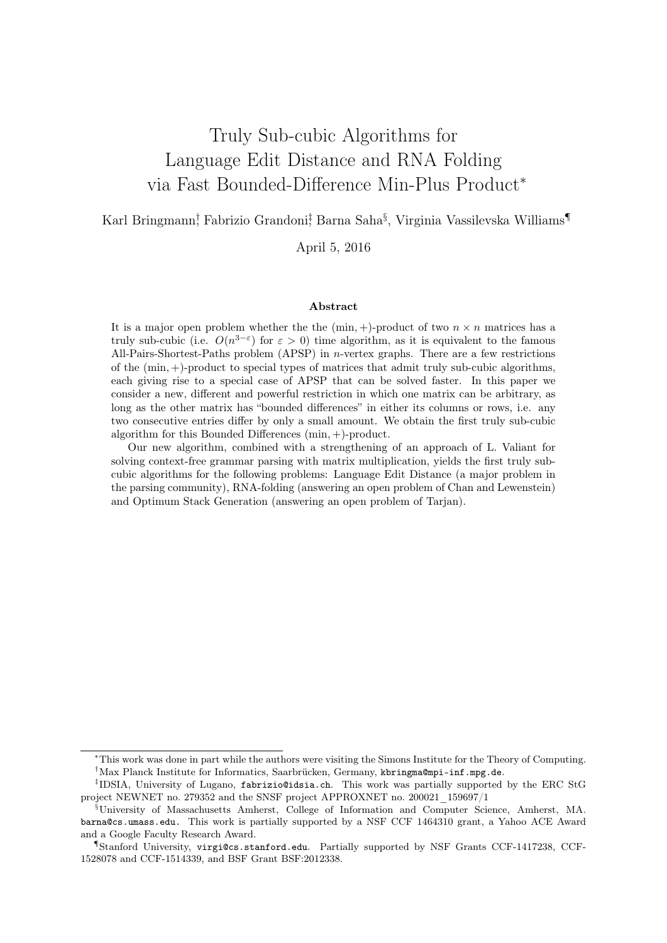# Truly Sub-cubic Algorithms for Language Edit Distance and RNA Folding via Fast Bounded-Difference Min-Plus Product<sup>∗</sup>

Karl Bringmann<sup>†</sup>, Fabrizio Grandoni‡ Barna Saha<sup>§</sup>, Virginia Vassilevska Williams¶

### April 5, 2016

#### Abstract

It is a major open problem whether the the  $(\min, +)$ -product of two  $n \times n$  matrices has a truly sub-cubic (i.e.  $O(n^{3-\epsilon})$  for  $\epsilon > 0$ ) time algorithm, as it is equivalent to the famous All-Pairs-Shortest-Paths problem (APSP) in n-vertex graphs. There are a few restrictions of the (min, +)-product to special types of matrices that admit truly sub-cubic algorithms, each giving rise to a special case of APSP that can be solved faster. In this paper we consider a new, different and powerful restriction in which one matrix can be arbitrary, as long as the other matrix has "bounded differences" in either its columns or rows, i.e. any two consecutive entries differ by only a small amount. We obtain the first truly sub-cubic algorithm for this Bounded Differences (min, +)-product.

Our new algorithm, combined with a strengthening of an approach of L. Valiant for solving context-free grammar parsing with matrix multiplication, yields the first truly subcubic algorithms for the following problems: Language Edit Distance (a major problem in the parsing community), RNA-folding (answering an open problem of Chan and Lewenstein) and Optimum Stack Generation (answering an open problem of Tarjan).

<sup>∗</sup>This work was done in part while the authors were visiting the Simons Institute for the Theory of Computing. †Max Planck Institute for Informatics, Saarbrücken, Germany, kbringma@mpi-inf.mpg.de.

<sup>‡</sup> IDSIA, University of Lugano, fabrizio@idsia.ch. This work was partially supported by the ERC StG project NEWNET no. 279352 and the SNSF project APPROXNET no. 200021\_159697/1

<sup>§</sup>University of Massachusetts Amherst, College of Information and Computer Science, Amherst, MA. barna@cs.umass.edu. This work is partially supported by a NSF CCF 1464310 grant, a Yahoo ACE Award and a Google Faculty Research Award.

<sup>¶</sup>Stanford University, virgi@cs.stanford.edu. Partially supported by NSF Grants CCF-1417238, CCF-1528078 and CCF-1514339, and BSF Grant BSF:2012338.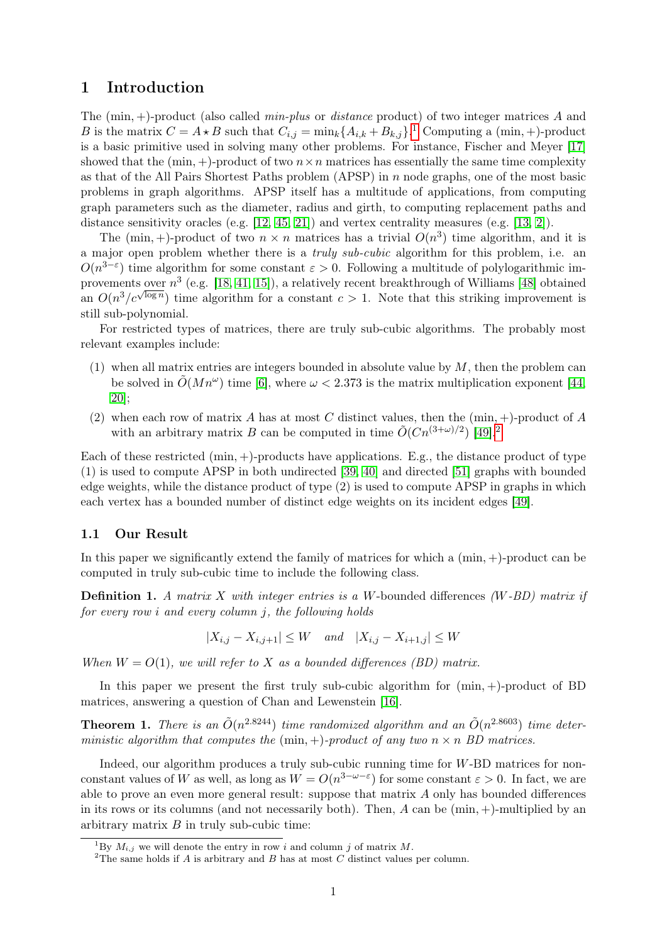### 1 Introduction

The  $(\min, +)$ -product (also called *min-plus* or *distance* product) of two integer matrices A and B is the matrix  $C = A \star B$  such that  $C_{i,j} = \min_k \{A_{i,k} + B_{k,j}\}\.$ <sup>[1](#page-1-0)</sup> Computing a  $(\min, +)$ -product is a basic primitive used in solving many other problems. For instance, Fischer and Meyer [\[17\]](#page-13-0) showed that the  $(\min, +)$ -product of two  $n \times n$  matrices has essentially the same time complexity as that of the All Pairs Shortest Paths problem  $(APSP)$  in n node graphs, one of the most basic problems in graph algorithms. APSP itself has a multitude of applications, from computing graph parameters such as the diameter, radius and girth, to computing replacement paths and distance sensitivity oracles (e.g. [\[12,](#page-13-1) [45,](#page-15-0) [21\]](#page-13-2)) and vertex centrality measures (e.g. [\[13,](#page-13-3) [2\]](#page-11-0)).

The (min, +)-product of two  $n \times n$  matrices has a trivial  $O(n^3)$  time algorithm, and it is a major open problem whether there is a truly sub-cubic algorithm for this problem, i.e. an  $O(n^{3-\epsilon})$  time algorithm for some constant  $\epsilon > 0$ . Following a multitude of polylogarithmic improvements over  $n^3$  (e.g. [\[18,](#page-13-4) [41,](#page-14-0) [15\]](#page-13-5)), a relatively recent breakthrough of Williams [\[48\]](#page-15-1) obtained an  $O(n^3/c^{\sqrt{\log n}})$  time algorithm for a constant  $c > 1$ . Note that this striking improvement is still sub-polynomial.

For restricted types of matrices, there are truly sub-cubic algorithms. The probably most relevant examples include:

- (1) when all matrix entries are integers bounded in absolute value by  $M$ , then the problem can be solved in  $\tilde{O}(Mn^{\omega})$  time [\[6\]](#page-11-1), where  $\omega < 2.373$  is the matrix multiplication exponent [\[44,](#page-14-1) [20\]](#page-13-6);
- (2) when each row of matrix A has at most C distinct values, then the  $(\min, +)$ -product of A with an arbitrary matrix B can be computed in time  $\tilde{O}(Cn^{(3+\omega)/2})$  $\tilde{O}(Cn^{(3+\omega)/2})$  $\tilde{O}(Cn^{(3+\omega)/2})$  [\[49\]](#page-15-2).<sup>2</sup>

Each of these restricted  $(\min, +)$ -products have applications. E.g., the distance product of type (1) is used to compute APSP in both undirected [\[39,](#page-14-2) [40\]](#page-14-3) and directed [\[51\]](#page-15-3) graphs with bounded edge weights, while the distance product of type (2) is used to compute APSP in graphs in which each vertex has a bounded number of distinct edge weights on its incident edges [\[49\]](#page-15-2).

### 1.1 Our Result

In this paper we significantly extend the family of matrices for which a  $(\min, +)$ -product can be computed in truly sub-cubic time to include the following class.

**Definition 1.** A matrix X with integer entries is a W-bounded differences  $(W-BD)$  matrix if for every row i and every column j, the following holds

$$
|X_{i,j} - X_{i,j+1}| \le W \quad and \quad |X_{i,j} - X_{i+1,j}| \le W
$$

When  $W = O(1)$ , we will refer to X as a bounded differences (BD) matrix.

In this paper we present the first truly sub-cubic algorithm for  $(\min, +)$ -product of BD matrices, answering a question of Chan and Lewenstein [\[16\]](#page-13-7).

<span id="page-1-2"></span>**Theorem 1.** There is an  $\tilde{O}(n^{2.8244})$  time randomized algorithm and an  $\tilde{O}(n^{2.8603})$  time deterministic algorithm that computes the  $(\min, +)$ -product of any two  $n \times n$  BD matrices.

Indeed, our algorithm produces a truly sub-cubic running time for W-BD matrices for nonconstant values of W as well, as long as  $W = O(n^{3-\omega-\epsilon})$  for some constant  $\varepsilon > 0$ . In fact, we are able to prove an even more general result: suppose that matrix A only has bounded differences in its rows or its columns (and not necessarily both). Then,  $A$  can be  $(\min, +)$ -multiplied by an arbitrary matrix  $B$  in truly sub-cubic time:

<span id="page-1-0"></span><sup>&</sup>lt;sup>1</sup>By  $M_{i,j}$  we will denote the entry in row i and column j of matrix M.

<span id="page-1-1"></span><sup>&</sup>lt;sup>2</sup>The same holds if A is arbitrary and B has at most C distinct values per column.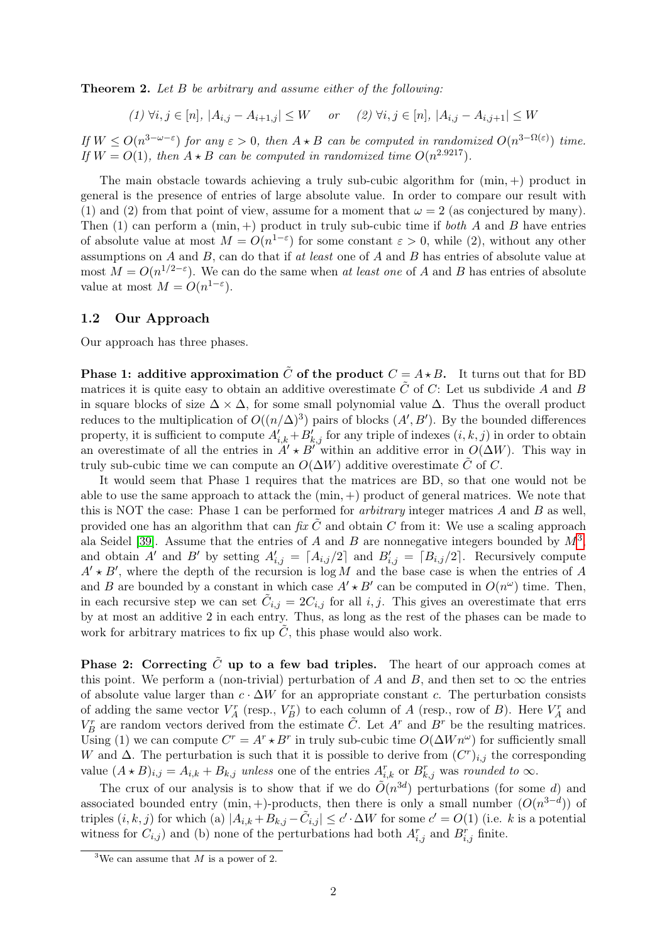**Theorem 2.** Let B be arbitrary and assume either of the following:

$$
(1) \,\forall i, j \in [n], \, |A_{i,j} - A_{i+1,j}| \le W \quad or \quad (2) \,\forall i, j \in [n], \, |A_{i,j} - A_{i,j+1}| \le W
$$

If  $W \leq O(n^{3-\omega-\epsilon})$  for any  $\epsilon > 0$ , then  $A \star B$  can be computed in randomized  $O(n^{3-\Omega(\epsilon)})$  time. If  $W = O(1)$ , then  $A \star B$  can be computed in randomized time  $O(n^{2.9217})$ .

The main obstacle towards achieving a truly sub-cubic algorithm for  $(\min, +)$  product in general is the presence of entries of large absolute value. In order to compare our result with (1) and (2) from that point of view, assume for a moment that  $\omega = 2$  (as conjectured by many). Then (1) can perform a  $(\min, +)$  product in truly sub-cubic time if *both A* and *B* have entries of absolute value at most  $M = O(n^{1-\epsilon})$  for some constant  $\epsilon > 0$ , while (2), without any other assumptions on A and B, can do that if at least one of A and B has entries of absolute value at most  $M = O(n^{1/2-\epsilon})$ . We can do the same when at least one of A and B has entries of absolute value at most  $M = O(n^{1-\epsilon}).$ 

### 1.2 Our Approach

Our approach has three phases.

**Phase 1: additive approximation**  $\tilde{C}$  of the product  $C = A \star B$ . It turns out that for BD matrices it is quite easy to obtain an additive overestimate  $\tilde{C}$  of C: Let us subdivide A and B in square blocks of size  $\Delta \times \Delta$ , for some small polynomial value  $\Delta$ . Thus the overall product reduces to the multiplication of  $O((n/\Delta)^3)$  pairs of blocks  $(A', B')$ . By the bounded differences property, it is sufficient to compute  $A'_{i,k} + B'_{k,j}$  for any triple of indexes  $(i, k, j)$  in order to obtain an overestimate of all the entries in  $A' \star B''$  within an additive error in  $O(\Delta W)$ . This way in truly sub-cubic time we can compute an  $O(\Delta W)$  additive overestimate C of C.

It would seem that Phase 1 requires that the matrices are BD, so that one would not be able to use the same approach to attack the  $(min, +)$  product of general matrices. We note that this is NOT the case: Phase 1 can be performed for *arbitrary* integer matrices  $A$  and  $B$  as well, provided one has an algorithm that can fix  $\hat{C}$  and obtain C from it: We use a scaling approach ala Seidel [\[39\]](#page-14-2). Assume that the entries of A and B are nonnegative integers bounded by  $M^3$  $M^3$ , and obtain A' and B' by setting  $A'_{i,j} = \lfloor A_{i,j}/2 \rfloor$  and  $B'_{i,j} = \lfloor B_{i,j}/2 \rfloor$ . Recursively compute  $A' \star B'$ , where the depth of the recursion is log M and the base case is when the entries of A and B are bounded by a constant in which case  $A' \star B'$  can be computed in  $O(n^{\omega})$  time. Then, in each recursive step we can set  $\tilde{C}_{i,j} = 2C_{i,j}$  for all i, j. This gives an overestimate that errs by at most an additive 2 in each entry. Thus, as long as the rest of the phases can be made to work for arbitrary matrices to fix up  $\tilde{C}$ , this phase would also work.

**Phase 2:** Correcting  $\tilde{C}$  up to a few bad triples. The heart of our approach comes at this point. We perform a (non-trivial) perturbation of A and B, and then set to  $\infty$  the entries of absolute value larger than  $c \cdot \Delta W$  for an appropriate constant c. The perturbation consists of adding the same vector  $V_A^r$  (resp.,  $V_B^r$ ) to each column of A (resp., row of B). Here  $V_A^r$  and  $V_B^r$  are random vectors derived from the estimate  $\tilde{C}$ . Let  $A^r$  and  $B^r$  be the resulting matrices. Using (1) we can compute  $C^r = A^r * B^r$  in truly sub-cubic time  $O(\Delta W n^{\omega})$  for sufficiently small W and  $\Delta$ . The perturbation is such that it is possible to derive from  $(C<sup>r</sup>)_{i,j}$  the corresponding value  $(A \star B)_{i,j} = A_{i,k} + B_{k,j}$  unless one of the entries  $A_{i,k}^r$  or  $B_{k,j}^r$  was rounded to  $\infty$ .

The crux of our analysis is to show that if we do  $\tilde{O}(n^{3d})$  perturbations (for some d) and associated bounded entry (min, +)-products, then there is only a small number  $(O(n^{3-d}))$  of triples  $(i, k, j)$  for which (a)  $|A_{i,k} + B_{k,j} - \tilde{C}_{i,j}| \leq c' \cdot \Delta W$  for some  $c' = O(1)$  (i.e. k is a potential witness for  $C_{i,j}$  and (b) none of the perturbations had both  $A_{i,j}^r$  and  $B_{i,j}^r$  finite.

<span id="page-2-0"></span><sup>&</sup>lt;sup>3</sup>We can assume that M is a power of 2.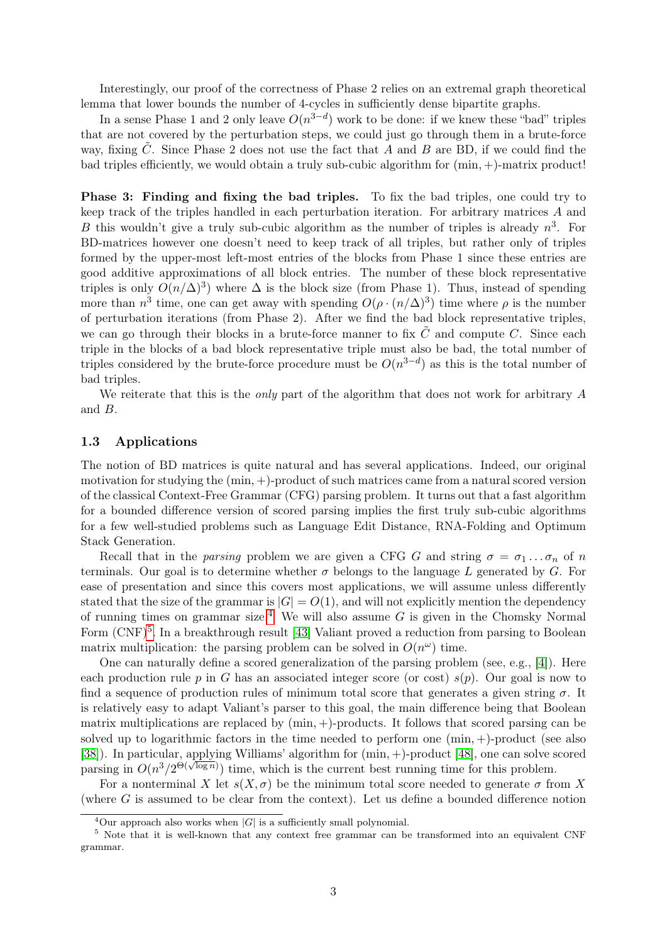Interestingly, our proof of the correctness of Phase 2 relies on an extremal graph theoretical lemma that lower bounds the number of 4-cycles in sufficiently dense bipartite graphs.

In a sense Phase 1 and 2 only leave  $O(n^{3-d})$  work to be done: if we knew these "bad" triples that are not covered by the perturbation steps, we could just go through them in a brute-force way, fixing C. Since Phase 2 does not use the fact that  $A$  and  $B$  are BD, if we could find the bad triples efficiently, we would obtain a truly sub-cubic algorithm for  $(min, +)$ -matrix product!

Phase 3: Finding and fixing the bad triples. To fix the bad triples, one could try to keep track of the triples handled in each perturbation iteration. For arbitrary matrices A and B this wouldn't give a truly sub-cubic algorithm as the number of triples is already  $n^3$ . For BD-matrices however one doesn't need to keep track of all triples, but rather only of triples formed by the upper-most left-most entries of the blocks from Phase 1 since these entries are good additive approximations of all block entries. The number of these block representative triples is only  $O(n/\Delta)^3$ ) where  $\Delta$  is the block size (from Phase 1). Thus, instead of spending more than  $n^3$  time, one can get away with spending  $O(\rho \cdot (n/\Delta)^3)$  time where  $\rho$  is the number of perturbation iterations (from Phase 2). After we find the bad block representative triples, we can go through their blocks in a brute-force manner to fix  $C$  and compute  $C$ . Since each triple in the blocks of a bad block representative triple must also be bad, the total number of triples considered by the brute-force procedure must be  $O(n^{3-d})$  as this is the total number of bad triples.

We reiterate that this is the *only* part of the algorithm that does not work for arbitrary A and B.

### 1.3 Applications

The notion of BD matrices is quite natural and has several applications. Indeed, our original motivation for studying the  $(\min, +)$ -product of such matrices came from a natural scored version of the classical Context-Free Grammar (CFG) parsing problem. It turns out that a fast algorithm for a bounded difference version of scored parsing implies the first truly sub-cubic algorithms for a few well-studied problems such as Language Edit Distance, RNA-Folding and Optimum Stack Generation.

Recall that in the parsing problem we are given a CFG G and string  $\sigma = \sigma_1 \dots \sigma_n$  of n terminals. Our goal is to determine whether  $\sigma$  belongs to the language L generated by G. For ease of presentation and since this covers most applications, we will assume unless differently stated that the size of the grammar is  $|G| = O(1)$ , and will not explicitly mention the dependency of running times on grammar size.<sup>[4](#page-3-0)</sup> We will also assume  $G$  is given in the Chomsky Normal Form (CNF)<sup>[5](#page-3-1)</sup>. In a breakthrough result [\[43\]](#page-14-4) Valiant proved a reduction from parsing to Boolean matrix multiplication: the parsing problem can be solved in  $O(n^{\omega})$  time.

One can naturally define a scored generalization of the parsing problem (see, e.g., [\[4\]](#page-11-2)). Here each production rule p in G has an associated integer score (or cost)  $s(p)$ . Our goal is now to find a sequence of production rules of minimum total score that generates a given string  $\sigma$ . It is relatively easy to adapt Valiant's parser to this goal, the main difference being that Boolean matrix multiplications are replaced by  $(min, +)$ -products. It follows that scored parsing can be solved up to logarithmic factors in the time needed to perform one  $(\min, +)$ -product (see also [\[38\]](#page-14-5)). In particular, applying Williams' algorithm for (min, +)-product [\[48\]](#page-15-1), one can solve scored port in particular, applying with an algorithm for  $(\text{min}, +)$ -product [40], one can solve s<br>parsing in  $O(n^3/2^{\Theta(\sqrt{\log n})})$  time, which is the current best running time for this problem.

For a nonterminal X let  $s(X, \sigma)$  be the minimum total score needed to generate  $\sigma$  from X (where G is assumed to be clear from the context). Let us define a bounded difference notion

<span id="page-3-1"></span><span id="page-3-0"></span><sup>&</sup>lt;sup>4</sup>Our approach also works when  $|G|$  is a sufficiently small polynomial.

<sup>5</sup> Note that it is well-known that any context free grammar can be transformed into an equivalent CNF grammar.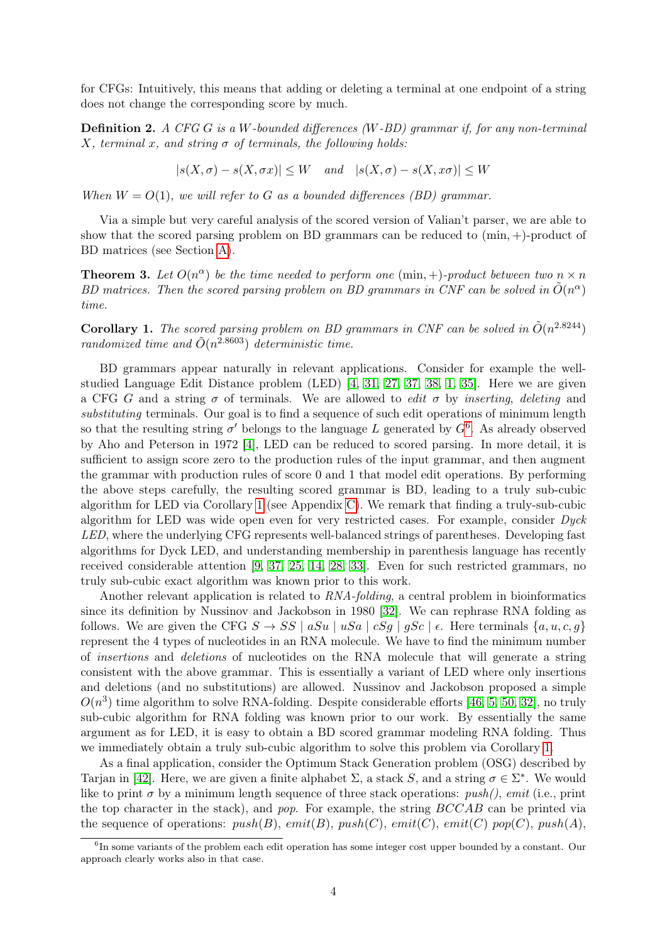for CFGs: Intuitively, this means that adding or deleting a terminal at one endpoint of a string does not change the corresponding score by much.

**Definition 2.** A CFG G is a W-bounded differences (W-BD) grammar if, for any non-terminal X, terminal x, and string  $\sigma$  of terminals, the following holds:

$$
|s(X, \sigma) - s(X, \sigma x)| \le W \quad and \quad |s(X, \sigma) - s(X, x\sigma)| \le W
$$

When  $W = O(1)$ , we will refer to G as a bounded differences (BD) grammar.

Via a simple but very careful analysis of the scored version of Valian't parser, we are able to show that the scored parsing problem on BD grammars can be reduced to (min, +)-product of BD matrices (see Section [A\)](#page-15-4).

<span id="page-4-2"></span>**Theorem 3.** Let  $O(n^{\alpha})$  be the time needed to perform one (min, +)-product between two  $n \times n$ BD matrices. Then the scored parsing problem on BD grammars in CNF can be solved in  $\tilde{O}(n^{\alpha})$ time.

<span id="page-4-1"></span>**Corollary 1.** The scored parsing problem on BD grammars in CNF can be solved in  $\tilde{O}(n^{2.8244})$ randomized time and  $\tilde{O}(n^{2.8603})$  deterministic time.

BD grammars appear naturally in relevant applications. Consider for example the wellstudied Language Edit Distance problem (LED) [\[4,](#page-11-2) [31,](#page-14-6) [27,](#page-13-8) [37,](#page-14-7) [38,](#page-14-5) [1,](#page-11-3) [35\]](#page-14-8). Here we are given a CFG G and a string  $\sigma$  of terminals. We are allowed to *edit*  $\sigma$  by *inserting, deleting* and substituting terminals. Our goal is to find a sequence of such edit operations of minimum length so that the resulting string  $\sigma'$  belongs to the language L generated by  $G^6$  $G^6$ . As already observed by Aho and Peterson in 1972 [\[4\]](#page-11-2), LED can be reduced to scored parsing. In more detail, it is sufficient to assign score zero to the production rules of the input grammar, and then augment the grammar with production rules of score 0 and 1 that model edit operations. By performing the above steps carefully, the resulting scored grammar is BD, leading to a truly sub-cubic algorithm for LED via Corollary [1](#page-4-1) (see Appendix [C\)](#page-26-0). We remark that finding a truly-sub-cubic algorithm for LED was wide open even for very restricted cases. For example, consider Dyck LED, where the underlying CFG represents well-balanced strings of parentheses. Developing fast algorithms for Dyck LED, and understanding membership in parenthesis language has recently received considerable attention [\[9,](#page-11-4) [37,](#page-14-7) [25,](#page-13-9) [14,](#page-13-10) [28,](#page-14-9) [33\]](#page-14-10). Even for such restricted grammars, no truly sub-cubic exact algorithm was known prior to this work.

Another relevant application is related to RNA-folding, a central problem in bioinformatics since its definition by Nussinov and Jackobson in 1980 [\[32\]](#page-14-11). We can rephrase RNA folding as follows. We are given the CFG  $S \to SS \mid aSu \mid uSa \mid cSg \mid gSc \mid \epsilon$ . Here terminals  $\{a, u, c, g\}$ represent the 4 types of nucleotides in an RNA molecule. We have to find the minimum number of insertions and deletions of nucleotides on the RNA molecule that will generate a string consistent with the above grammar. This is essentially a variant of LED where only insertions and deletions (and no substitutions) are allowed. Nussinov and Jackobson proposed a simple  $O(n^3)$  time algorithm to solve RNA-folding. Despite considerable efforts [\[46,](#page-15-5) [5,](#page-11-5) [50,](#page-15-6) [32\]](#page-14-11), no truly sub-cubic algorithm for RNA folding was known prior to our work. By essentially the same argument as for LED, it is easy to obtain a BD scored grammar modeling RNA folding. Thus we immediately obtain a truly sub-cubic algorithm to solve this problem via Corollary [1.](#page-4-1)

As a final application, consider the Optimum Stack Generation problem (OSG) described by Tarjan in [\[42\]](#page-14-12). Here, we are given a finite alphabet  $\Sigma$ , a stack S, and a string  $\sigma \in \Sigma^*$ . We would like to print  $\sigma$  by a minimum length sequence of three stack operations: *push(), emit* (i.e., print the top character in the stack), and pop. For example, the string BCCAB can be printed via the sequence of operations:  $push(B)$ ,  $emit(B)$ ,  $push(C)$ ,  $emit(C)$ ,  $emit(C)$  pop(C),  $push(A)$ ,

<span id="page-4-0"></span><sup>&</sup>lt;sup>6</sup>In some variants of the problem each edit operation has some integer cost upper bounded by a constant. Our approach clearly works also in that case.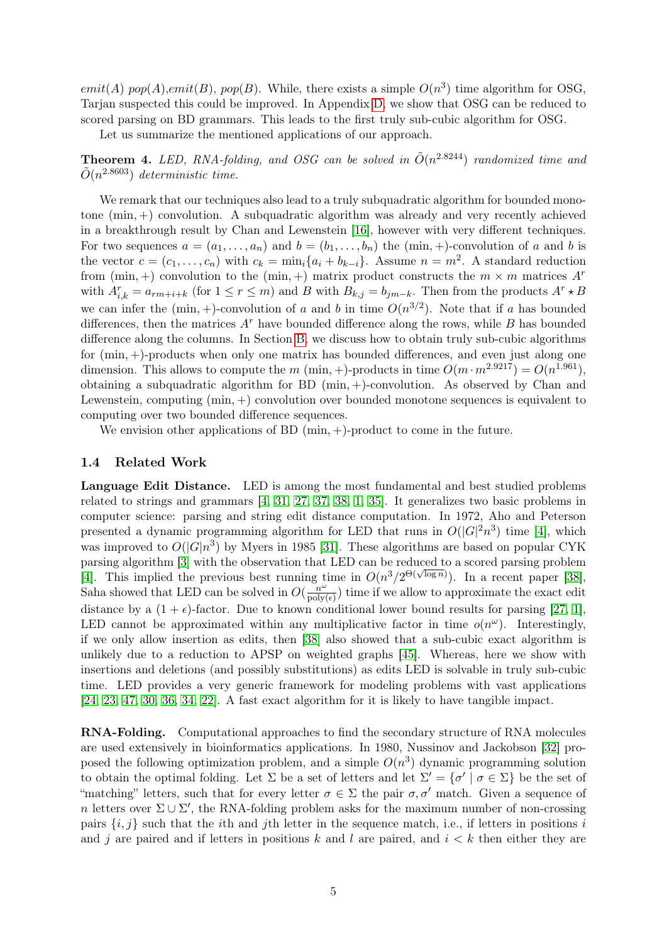emit(A) pop(A),emit(B), pop(B). While, there exists a simple  $O(n^3)$  time algorithm for OSG, Tarjan suspected this could be improved. In Appendix [D,](#page-28-0) we show that OSG can be reduced to scored parsing on BD grammars. This leads to the first truly sub-cubic algorithm for OSG.

Let us summarize the mentioned applications of our approach.

**Theorem 4.** LED, RNA-folding, and OSG can be solved in  $\tilde{O}(n^{2.8244})$  randomized time and  $\tilde{O}(n^{2.8603})$  deterministic time.

We remark that our techniques also lead to a truly subquadratic algorithm for bounded monotone (min, +) convolution. A subquadratic algorithm was already and very recently achieved in a breakthrough result by Chan and Lewenstein [\[16\]](#page-13-7), however with very different techniques. For two sequences  $a = (a_1, \ldots, a_n)$  and  $b = (b_1, \ldots, b_n)$  the  $(\min, +)$ -convolution of a and b is the vector  $c = (c_1, \ldots, c_n)$  with  $c_k = \min_i \{a_i + b_{k-i}\}.$  Assume  $n = m^2$ . A standard reduction from  $(\min, +)$  convolution to the  $(\min, +)$  matrix product constructs the  $m \times m$  matrices  $A^r$ with  $A_{i,k}^r = a_{rm+i+k}$  (for  $1 \le r \le m$ ) and B with  $B_{k,j} = b_{jm-k}$ . Then from the products  $A^r \star B$ we can infer the  $(\min, +)$ -convolution of a and b in time  $O(n^{3/2})$ . Note that if a has bounded differences, then the matrices  $A<sup>r</sup>$  have bounded difference along the rows, while B has bounded difference along the columns. In Section [B,](#page-22-0) we discuss how to obtain truly sub-cubic algorithms for  $(min, +)$ -products when only one matrix has bounded differences, and even just along one dimension. This allows to compute the m (min, +)-products in time  $O(m \cdot m^{2.9217}) = O(n^{1.961})$ , obtaining a subquadratic algorithm for BD (min, +)-convolution. As observed by Chan and Lewenstein, computing (min, +) convolution over bounded monotone sequences is equivalent to computing over two bounded difference sequences.

We envision other applications of BD  $(\min, +)$ -product to come in the future.

### 1.4 Related Work

Language Edit Distance. LED is among the most fundamental and best studied problems related to strings and grammars [\[4,](#page-11-2) [31,](#page-14-6) [27,](#page-13-8) [37,](#page-14-7) [38,](#page-14-5) [1,](#page-11-3) [35\]](#page-14-8). It generalizes two basic problems in computer science: parsing and string edit distance computation. In 1972, Aho and Peterson presented a dynamic programming algorithm for LED that runs in  $O(|G|^2 n^3)$  time [\[4\]](#page-11-2), which was improved to  $O(|G|n^3)$  by Myers in 1985 [\[31\]](#page-14-6). These algorithms are based on popular CYK parsing algorithm [\[3\]](#page-11-6) with the observation that LED can be reduced to a scored parsing problem parsing algorithm [5] with the observation that EED can be reduced to a scored parsing problem<br>[\[4\]](#page-11-2). This implied the previous best running time in  $O(n^3/2^{\Theta(\sqrt{\log n}}))$ . In a recent paper [\[38\]](#page-14-5), Saha showed that LED can be solved in  $O(\frac{n^{\omega}}{\text{poly}})$  $\frac{n^{\omega}}{\text{poly}(\epsilon)}$  time if we allow to approximate the exact edit distance by a  $(1 + \epsilon)$ -factor. Due to known conditional lower bound results for parsing [\[27,](#page-13-8) [1\]](#page-11-3), LED cannot be approximated within any multiplicative factor in time  $o(n^{\omega})$ . Interestingly, if we only allow insertion as edits, then [\[38\]](#page-14-5) also showed that a sub-cubic exact algorithm is unlikely due to a reduction to APSP on weighted graphs [\[45\]](#page-15-0). Whereas, here we show with insertions and deletions (and possibly substitutions) as edits LED is solvable in truly sub-cubic time. LED provides a very generic framework for modeling problems with vast applications [\[24,](#page-13-11) [23,](#page-13-12) [47,](#page-15-7) [30,](#page-14-13) [36,](#page-14-14) [34,](#page-14-15) [22\]](#page-13-13). A fast exact algorithm for it is likely to have tangible impact.

RNA-Folding. Computational approaches to find the secondary structure of RNA molecules are used extensively in bioinformatics applications. In 1980, Nussinov and Jackobson [\[32\]](#page-14-11) proposed the following optimization problem, and a simple  $O(n^3)$  dynamic programming solution to obtain the optimal folding. Let  $\Sigma$  be a set of letters and let  $\Sigma' = {\sigma' | \sigma \in \Sigma}$  be the set of "matching" letters, such that for every letter  $\sigma \in \Sigma$  the pair  $\sigma, \sigma'$  match. Given a sequence of n letters over  $\Sigma \cup \Sigma'$ , the RNA-folding problem asks for the maximum number of non-crossing pairs  $\{i, j\}$  such that the *i*th and *j*th letter in the sequence match, i.e., if letters in positions *i* and j are paired and if letters in positions k and l are paired, and  $i < k$  then either they are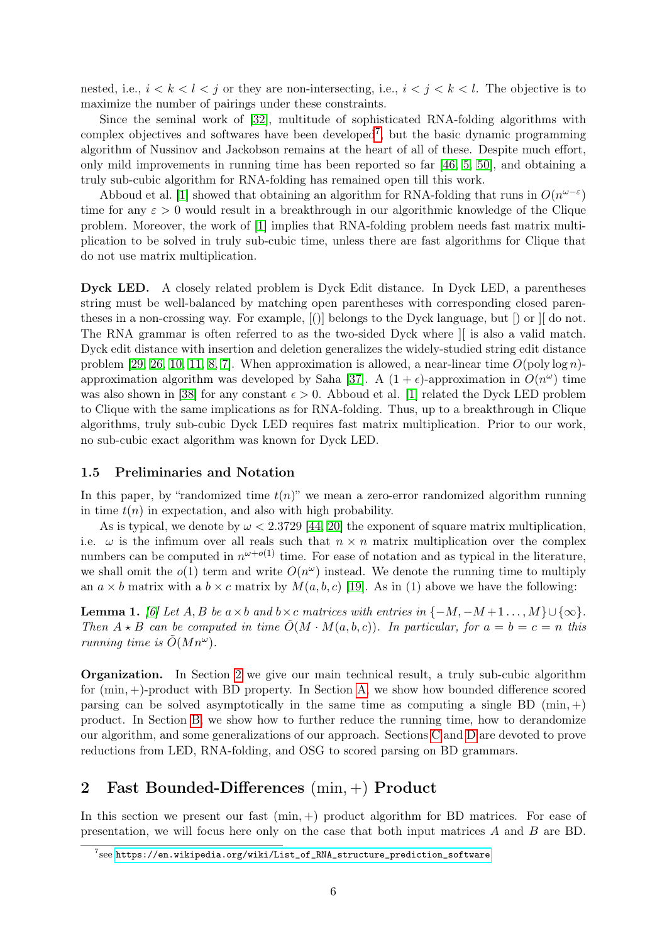nested, i.e.,  $i < k < l < j$  or they are non-intersecting, i.e.,  $i < j < k < l$ . The objective is to maximize the number of pairings under these constraints.

Since the seminal work of [\[32\]](#page-14-11), multitude of sophisticated RNA-folding algorithms with complex objectives and softwares have been developed<sup>[7](#page-6-0)</sup>, but the basic dynamic programming algorithm of Nussinov and Jackobson remains at the heart of all of these. Despite much effort, only mild improvements in running time has been reported so far [\[46,](#page-15-5) [5,](#page-11-5) [50\]](#page-15-6), and obtaining a truly sub-cubic algorithm for RNA-folding has remained open till this work.

Abboud et al. [\[1\]](#page-11-3) showed that obtaining an algorithm for RNA-folding that runs in  $O(n^{\omega-\epsilon})$ time for any  $\varepsilon > 0$  would result in a breakthrough in our algorithmic knowledge of the Clique problem. Moreover, the work of [\[1\]](#page-11-3) implies that RNA-folding problem needs fast matrix multiplication to be solved in truly sub-cubic time, unless there are fast algorithms for Clique that do not use matrix multiplication.

Dyck LED. A closely related problem is Dyck Edit distance. In Dyck LED, a parentheses string must be well-balanced by matching open parentheses with corresponding closed parentheses in a non-crossing way. For example, [()] belongs to the Dyck language, but [) or ][ do not. The RNA grammar is often referred to as the two-sided Dyck where ][ is also a valid match. Dyck edit distance with insertion and deletion generalizes the widely-studied string edit distance problem [\[29,](#page-14-16) [26,](#page-13-14) [10,](#page-11-7) [11,](#page-13-15) [8,](#page-11-8) [7\]](#page-11-9). When approximation is allowed, a near-linear time  $O(\text{poly}\log n)$ -approximation algorithm was developed by Saha [\[37\]](#page-14-7). A  $(1 + \epsilon)$ -approximation in  $O(n^{\omega})$  time was also shown in [\[38\]](#page-14-5) for any constant  $\epsilon > 0$ . Abboud et al. [\[1\]](#page-11-3) related the Dyck LED problem to Clique with the same implications as for RNA-folding. Thus, up to a breakthrough in Clique algorithms, truly sub-cubic Dyck LED requires fast matrix multiplication. Prior to our work, no sub-cubic exact algorithm was known for Dyck LED.

### 1.5 Preliminaries and Notation

In this paper, by "randomized time  $t(n)$ " we mean a zero-error randomized algorithm running in time  $t(n)$  in expectation, and also with high probability.

As is typical, we denote by  $\omega < 2.3729$  [\[44,](#page-14-1) [20\]](#page-13-6) the exponent of square matrix multiplication, i.e.  $\omega$  is the infimum over all reals such that  $n \times n$  matrix multiplication over the complex numbers can be computed in  $n^{\omega+o(1)}$  time. For ease of notation and as typical in the literature, we shall omit the  $o(1)$  term and write  $O(n^{\omega})$  instead. We denote the running time to multiply an  $a \times b$  matrix with a  $b \times c$  matrix by  $M(a, b, c)$  [\[19\]](#page-13-16). As in (1) above we have the following:

<span id="page-6-2"></span>**Lemma 1.** [\[6\]](#page-11-1) Let  $A, B$  be  $a \times b$  and  $b \times c$  matrices with entries in  $\{-M, -M+1 \dots, M\} \cup \{\infty\}.$ Then  $A \star B$  can be computed in time  $\tilde{O}(M \cdot M(a, b, c))$ . In particular, for  $a = b = c = n$  this running time is  $\tilde{O}(Mn^{\omega}).$ 

Organization. In Section [2](#page-6-1) we give our main technical result, a truly sub-cubic algorithm for (min, +)-product with BD property. In Section [A,](#page-15-4) we show how bounded difference scored parsing can be solved asymptotically in the same time as computing a single BD (min,  $+)$ ) product. In Section [B,](#page-22-0) we show how to further reduce the running time, how to derandomize our algorithm, and some generalizations of our approach. Sections [C](#page-26-0) and [D](#page-28-0) are devoted to prove reductions from LED, RNA-folding, and OSG to scored parsing on BD grammars.

### <span id="page-6-1"></span>2 Fast Bounded-Differences (min, +) Product

In this section we present our fast  $(\min, +)$  product algorithm for BD matrices. For ease of presentation, we will focus here only on the case that both input matrices A and B are BD.

<span id="page-6-0"></span> $^{7}$ see [https://en.wikipedia.org/wiki/List\\_of\\_RNA\\_structure\\_prediction\\_software](https://en.wikipedia.org/wiki/List_of_RNA_structure_prediction_software)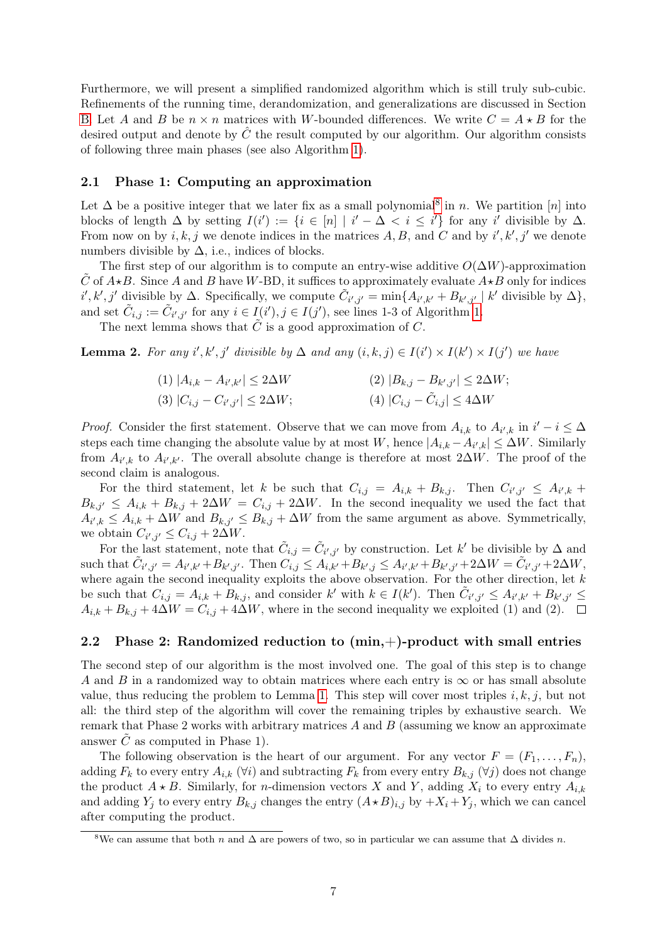Furthermore, we will present a simplified randomized algorithm which is still truly sub-cubic. Refinements of the running time, derandomization, and generalizations are discussed in Section [B.](#page-22-0) Let A and B be  $n \times n$  matrices with W-bounded differences. We write  $C = A \star B$  for the desired output and denote by  $\hat{C}$  the result computed by our algorithm. Our algorithm consists of following three main phases (see also Algorithm [1\)](#page-12-0).

### 2.1 Phase 1: Computing an approximation

Let  $\Delta$  be a positive integer that we later fix as a small polynomial<sup>[8](#page-7-0)</sup> in *n*. We partition [*n*] into blocks of length  $\Delta$  by setting  $I(i') := \{i \in [n] \mid i' - \Delta < i \leq i'\}$  for any i' divisible by  $\Delta$ . From now on by  $i, k, j$  we denote indices in the matrices A, B, and C and by  $i', k', j'$  we denote numbers divisible by  $\Delta$ , i.e., indices of blocks.

The first step of our algorithm is to compute an entry-wise additive  $O(\Delta W)$ -approximation C of  $A\star B$ . Since A and B have W-BD, it suffices to approximately evaluate  $A\star B$  only for indices  $i', k', j'$  divisible by  $\Delta$ . Specifically, we compute  $\tilde{C}_{i',j'} = \min\{A_{i',k'} + B_{k',j'} \mid k'$  divisible by  $\Delta\},$ and set  $\tilde{C}_{i,j} := \tilde{C}_{i',j'}$  for any  $i \in I(i'), j \in I(j')$ , see lines 1-3 of Algorithm [1.](#page-12-0)

The next lemma shows that  $\tilde{C}$  is a good approximation of  $C$ .

<span id="page-7-1"></span>**Lemma 2.** For any i', k', j' divisible by  $\Delta$  and any  $(i, k, j) \in I(i') \times I(k') \times I(j')$  we have

$$
(1) |A_{i,k} - A_{i',k'}| \le 2\Delta W
$$
  
\n
$$
(2) |B_{k,j} - B_{k',j'}| \le 2\Delta W;
$$
  
\n
$$
(3) |C_{i,j} - C_{i',j'}| \le 2\Delta W;
$$
  
\n
$$
(4) |C_{i,j} - \tilde{C}_{i,j}| \le 4\Delta W
$$

*Proof.* Consider the first statement. Observe that we can move from  $A_{i,k}$  to  $A_{i',k}$  in  $i'-i \leq \Delta$ steps each time changing the absolute value by at most W, hence  $|A_{i,k} - A_{i',k}| \leq \Delta W$ . Similarly from  $A_{i',k}$  to  $A_{i',k'}$ . The overall absolute change is therefore at most 2∆W. The proof of the second claim is analogous.

For the third statement, let k be such that  $C_{i,j} = A_{i,k} + B_{k,j}$ . Then  $C_{i',j'} \leq A_{i',k}$  $B_{k,j'} \leq A_{i,k} + B_{k,j} + 2\Delta W = C_{i,j} + 2\Delta W$ . In the second inequality we used the fact that  $A_{i',k} \leq A_{i,k} + \Delta W$  and  $B_{k,j'} \leq B_{k,j} + \Delta W$  from the same argument as above. Symmetrically, we obtain  $C_{i',j'} \leq C_{i,j} + 2\Delta W$ .

For the last statement, note that  $\tilde{C}_{i,j} = \tilde{C}_{i',j'}$  by construction. Let k' be divisible by  $\Delta$  and  $\text{such that } \tilde{C}_{i',j'} = A_{i',k'} + B_{k',j'}. \text{ Then } \tilde{C}_{i,j} \leq A_{i,k'} + B_{k',j} \leq A_{i',k'} + B_{k',j'} + 2\Delta W = \tilde{C}_{i',j'} + 2\Delta W,$ where again the second inequality exploits the above observation. For the other direction, let  $k$ be such that  $C_{i,j} = A_{i,k} + B_{k,j}$ , and consider k' with  $k \in I(k')$ . Then  $\tilde{C}_{i',j'} \leq A_{i',k'} + B_{k',j'} \leq$  $A_{i,k} + B_{k,j} + 4\Delta W = C_{i,j} + 4\Delta W$ , where in the second inequality we exploited (1) and (2).  $\Box$ 

### <span id="page-7-2"></span>2.2 Phase 2: Randomized reduction to  $(min,+)$ -product with small entries

The second step of our algorithm is the most involved one. The goal of this step is to change A and B in a randomized way to obtain matrices where each entry is  $\infty$  or has small absolute value, thus reducing the problem to Lemma [1.](#page-6-2) This step will cover most triples  $i, k, j$ , but not all: the third step of the algorithm will cover the remaining triples by exhaustive search. We remark that Phase 2 works with arbitrary matrices  $A$  and  $B$  (assuming we know an approximate answer  $\tilde{C}$  as computed in Phase 1).

The following observation is the heart of our argument. For any vector  $F = (F_1, \ldots, F_n)$ , adding  $F_k$  to every entry  $A_{i,k}$  ( $\forall i$ ) and subtracting  $F_k$  from every entry  $B_{k,j}$  ( $\forall j$ ) does not change the product  $A \star B$ . Similarly, for *n*-dimension vectors X and Y, adding  $X_i$  to every entry  $A_{i,k}$ and adding  $Y_i$  to every entry  $B_{k,j}$  changes the entry  $(A \star B)_{i,j}$  by  $+X_i + Y_j$ , which we can cancel after computing the product.

<span id="page-7-0"></span><sup>&</sup>lt;sup>8</sup>We can assume that both n and  $\Delta$  are powers of two, so in particular we can assume that  $\Delta$  divides n.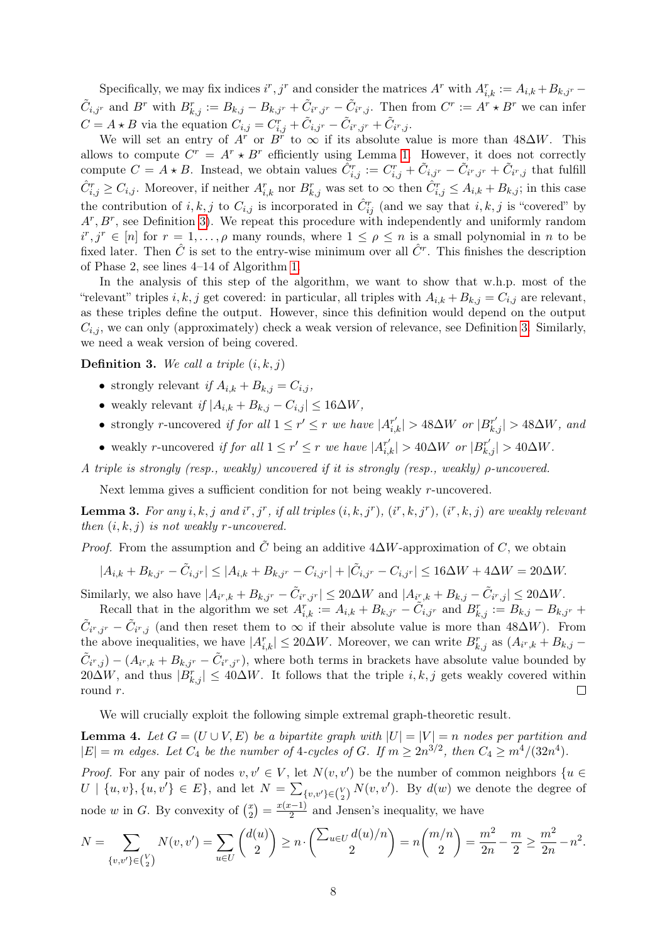Specifically, we may fix indices  $i^r, j^r$  and consider the matrices  $A^r$  with  $A_{i,k}^r := A_{i,k} + B_{k,j^r} - A_{i,k} + B_{k,j^r}$  $\tilde{C}_{i,j^r}$  and  $B^r$  with  $B^r_{k,j} := B_{k,j} - B_{k,j^r} + \tilde{C}_{i^r,j^r} - \tilde{C}_{i^r,j}$ . Then from  $C^r := A^r * B^r$  we can infer  $C = A \star B$  via the equation  $C_{i,j} = C_{i,j}^r + \tilde{C}_{i,j} - \tilde{C}_{i^r,j^r} + \tilde{C}_{i^r,j}$ .

We will set an entry of  $A^r$  or  $B^r$  to  $\infty$  if its absolute value is more than 48 $\Delta W$ . This allows to compute  $C^r = A^r * B^r$  efficiently using Lemma [1.](#page-6-2) However, it does not correctly compute  $C = A \star B$ . Instead, we obtain values  $\tilde{C}_{i,j}^r := C_{i,j}^r + \tilde{C}_{i,j}^r - \tilde{C}_{i^r,j^r} + \tilde{C}_{i^r,j}$  that fulfill  $\hat{C}_{i,j}^r \geq C_{i,j}$ . Moreover, if neither  $A_{i,k}^r$  nor  $B_{k,j}^r$  was set to  $\infty$  then  $\hat{C}_{i,j}^r \leq A_{i,k} + B_{k,j}$ ; in this case the contribution of  $i, k, j$  to  $C_{i,j}$  is incorporated in  $\hat{C}_{ij}^r$  (and we say that  $i, k, j$  is "covered" by  $A^r, B^r$ , see Definition [3\)](#page-8-0). We repeat this procedure with independently and uniformly random  $i^r, j^r \in [n]$  for  $r = 1, \ldots, \rho$  many rounds, where  $1 \leq \rho \leq n$  is a small polynomial in n to be fixed later. Then  $\hat{C}$  is set to the entry-wise minimum over all  $\hat{C}^r$ . This finishes the description of Phase 2, see lines 4–14 of Algorithm [1.](#page-12-0)

In the analysis of this step of the algorithm, we want to show that w.h.p. most of the "relevant" triples i, k, j get covered: in particular, all triples with  $A_{i,k} + B_{k,j} = C_{i,j}$  are relevant, as these triples define the output. However, since this definition would depend on the output  $C_{i,j}$ , we can only (approximately) check a weak version of relevance, see Definition [3.](#page-8-0) Similarly, we need a weak version of being covered.

<span id="page-8-0"></span>**Definition 3.** We call a triple  $(i, k, j)$ 

- strongly relevant if  $A_{i,k} + B_{k,j} = C_{i,j}$ ,
- weakly relevant if  $|A_{i,k} + B_{k,j} C_{i,j}| \leq 16\Delta W$ ,
- strongly r-uncovered if for all  $1 \leq r' \leq r$  we have  $|A^{r'}_{i,k}| > 48\Delta W$  or  $|B^{r'}_{k,j}| > 48\Delta W$ , and
- weakly r-uncovered if for all  $1 \leq r' \leq r$  we have  $|A^{r'}_{i,k}| > 40\Delta W$  or  $|B^{r'}_{k,j}| > 40\Delta W$ .

A triple is strongly (resp., weakly) uncovered if it is strongly (resp., weakly) ρ-uncovered.

Next lemma gives a sufficient condition for not being weakly r-uncovered.

<span id="page-8-1"></span>**Lemma 3.** For any i, k, j and i<sup>r</sup>, j<sup>r</sup>, if all triples  $(i, k, j<sup>r</sup>), (i<sup>r</sup>, k, j<sup>r</sup>), (i<sup>r</sup>, k, j)$  are weakly relevant then  $(i, k, j)$  is not weakly r-uncovered.

*Proof.* From the assumption and C being an additive  $4\Delta W$ -approximation of C, we obtain

$$
|A_{i,k} + B_{k,j^r} - \tilde{C}_{i,j^r}| \le |A_{i,k} + B_{k,j^r} - C_{i,j^r}| + |\tilde{C}_{i,j^r} - C_{i,j^r}| \le 16\Delta W + 4\Delta W = 20\Delta W.
$$

Similarly, we also have  $|A_{i^r,k} + B_{k,j^r} - \tilde{C}_{i^r,j^r}| \leq 20\Delta W$  and  $|A_{i^r,k} + B_{k,j} - \tilde{C}_{i^r,j}| \leq 20\Delta W$ .

Recall that in the algorithm we set  $A_{i,k}^r := A_{i,k} + B_{k,j^r} - \tilde{C}_{i,j^r}$  and  $B_{k,j}^r := B_{k,j} - B_{k,j^r} +$  $\tilde{C}_{i^r,j^r} - \tilde{C}_{i^r,j}$  (and then reset them to  $\infty$  if their absolute value is more than 48 $\Delta W$ ). From the above inequalities, we have  $|A_{i,k}^r| \le 20\Delta W$ . Moreover, we can write  $B_{k,j}^r$  as  $(A_{i^r,k} + B_{k,j} - A_{i^r,k})$  $\tilde{C}_{i^r,j}$  –  $(A_{i^r,k} + B_{k,j^r} - \tilde{C}_{i^r,j^r})$ , where both terms in brackets have absolute value bounded by  $20\Delta W$ , and thus  $|B_{k,j}^r| \leq 40\Delta W$ . It follows that the triple  $i, k, j$  gets weakly covered within round r.  $\Box$ 

We will crucially exploit the following simple extremal graph-theoretic result.

<span id="page-8-2"></span>**Lemma 4.** Let  $G = (U \cup V, E)$  be a bipartite graph with  $|U| = |V| = n$  nodes per partition and  $|E| = m$  edges. Let  $C_4$  be the number of 4-cycles of G. If  $m \ge 2n^{3/2}$ , then  $C_4 \ge m^4/(32n^4)$ .

*Proof.* For any pair of nodes  $v, v' \in V$ , let  $N(v, v')$  be the number of common neighbors  $\{u \in V\}$  $U \mid \{u, v\}, \{u, v'\} \in E\}$ , and let  $N = \sum_{\{v, v'\} \in {V \choose 2}} N(v, v')$ . By  $d(w)$  we denote the degree of node w in G. By convexity of  $\binom{x}{2}$  $\binom{x}{2} = \frac{x(x-1)}{2}$  $\frac{z-1}{2}$  and Jensen's inequality, we have

$$
N = \sum_{\{v,v'\} \in \binom{V}{2}} N(v,v') = \sum_{u \in U} \binom{d(u)}{2} \ge n \cdot \binom{\sum_{u \in U} d(u)/n}{2} = n \binom{m/n}{2} = \frac{m^2}{2n} - \frac{m}{2} \ge \frac{m^2}{2n} - n^2.
$$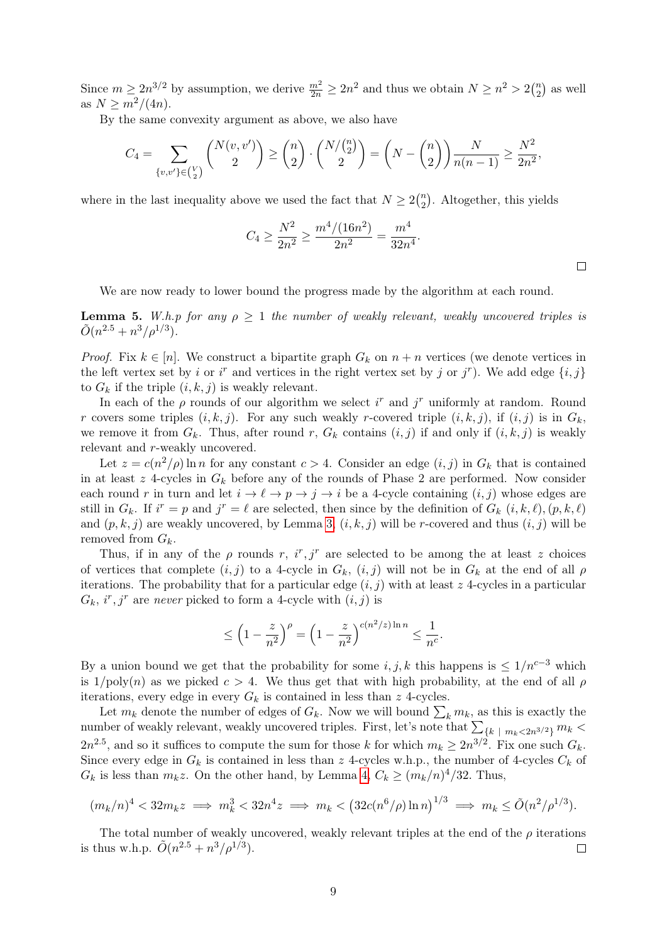Since  $m \ge 2n^{3/2}$  by assumption, we derive  $\frac{m^2}{2n} \ge 2n^2$  and thus we obtain  $N \ge n^2 > 2{n \choose 2}$  $n \choose 2$  as well as  $N \ge m^2/(4n)$ .

By the same convexity argument as above, we also have

$$
C_4 = \sum_{\{v,v'\} \in {V \choose 2}} {N(v,v') \choose 2} \ge {n \choose 2} \cdot {N/{n \choose 2} \choose 2} = \left(N - {n \choose 2}\right) \frac{N}{n(n-1)} \ge \frac{N^2}{2n^2},
$$

where in the last inequality above we used the fact that  $N \geq 2\binom{n}{2}$  $n \choose 2$ . Altogether, this yields

$$
C_4 \ge \frac{N^2}{2n^2} \ge \frac{m^4/(16n^2)}{2n^2} = \frac{m^4}{32n^4}.
$$

 $\Box$ 

We are now ready to lower bound the progress made by the algorithm at each round.

<span id="page-9-0"></span>**Lemma 5.** W.h.p for any  $\rho \geq 1$  the number of weakly relevant, weakly uncovered triples is  $\tilde{O}(n^{2.5}+n^3/\rho^{1/3}).$ 

*Proof.* Fix  $k \in [n]$ . We construct a bipartite graph  $G_k$  on  $n + n$  vertices (we denote vertices in the left vertex set by i or i<sup>r</sup> and vertices in the right vertex set by j or j<sup>r</sup>). We add edge  $\{i, j\}$ to  $G_k$  if the triple  $(i, k, j)$  is weakly relevant.

In each of the  $\rho$  rounds of our algorithm we select i<sup>r</sup> and j<sup>r</sup> uniformly at random. Round r covers some triples  $(i, k, j)$ . For any such weakly r-covered triple  $(i, k, j)$ , if  $(i, j)$  is in  $G_k$ , we remove it from  $G_k$ . Thus, after round r,  $G_k$  contains  $(i, j)$  if and only if  $(i, k, j)$  is weakly relevant and r-weakly uncovered.

Let  $z = c(n^2/\rho) \ln n$  for any constant  $c > 4$ . Consider an edge  $(i, j)$  in  $G_k$  that is contained in at least  $z$  4-cycles in  $G_k$  before any of the rounds of Phase 2 are performed. Now consider each round r in turn and let  $i \to \ell \to p \to j \to i$  be a 4-cycle containing  $(i, j)$  whose edges are still in  $G_k$ . If  $i^r = p$  and  $j^r = \ell$  are selected, then since by the definition of  $G_k$   $(i, k, \ell), (p, k, \ell)$ and  $(p, k, j)$  are weakly uncovered, by Lemma [3,](#page-8-1)  $(i, k, j)$  will be r-covered and thus  $(i, j)$  will be removed from  $G_k$ .

Thus, if in any of the  $\rho$  rounds r,  $i^r, j^r$  are selected to be among the at least z choices of vertices that complete  $(i, j)$  to a 4-cycle in  $G_k$ ,  $(i, j)$  will not be in  $G_k$  at the end of all  $\rho$ iterations. The probability that for a particular edge  $(i, j)$  with at least z 4-cycles in a particular  $G_k$ , i<sup>r</sup>, j<sup>r</sup> are never picked to form a 4-cycle with  $(i, j)$  is

$$
\leq \left(1 - \frac{z}{n^2}\right)^{\rho} = \left(1 - \frac{z}{n^2}\right)^{c(n^2/z)\ln n} \leq \frac{1}{n^c}.
$$

By a union bound we get that the probability for some  $i, j, k$  this happens is  $\leq 1/n^{c-3}$  which is  $1/poly(n)$  as we picked  $c > 4$ . We thus get that with high probability, at the end of all  $\rho$ iterations, every edge in every  $G_k$  is contained in less than  $z$  4-cycles.

Let  $m_k$  denote the number of edges of  $G_k$ . Now we will bound  $\sum_k m_k$ , as this is exactly the number of weakly relevant, weakly uncovered triples. First, let's note that  $\sum_{\{k \ | \ m_k < 2n^{3/2}\}} m_k$  $2n^{2.5}$ , and so it suffices to compute the sum for those k for which  $m_k \ge 2n^{3/2}$ . Fix one such  $G_k$ . Since every edge in  $G_k$  is contained in less than z 4-cycles w.h.p., the number of 4-cycles  $C_k$  of  $G_k$  is less than  $m_k z$ . On the other hand, by Lemma [4,](#page-8-2)  $C_k \ge (m_k/n)^4/32$ . Thus,

$$
(m_k/n)^4 < 32m_k z \implies m_k^3 < 32n^4 z \implies m_k < (32c(n^6/\rho)\ln n)^{1/3} \implies m_k \le \tilde{O}(n^2/\rho^{1/3}).
$$

The total number of weakly uncovered, weakly relevant triples at the end of the  $\rho$  iterations is thus w.h.p.  $\tilde{O}(n^{2.5} + n^3/\rho^{1/3})$ .  $\Box$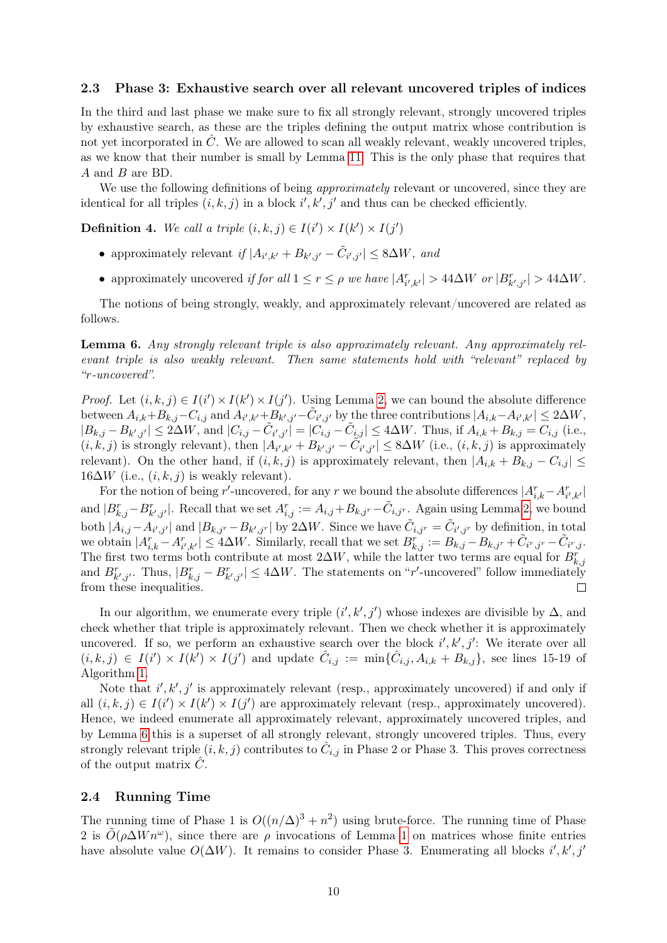#### 2.3 Phase 3: Exhaustive search over all relevant uncovered triples of indices

In the third and last phase we make sure to fix all strongly relevant, strongly uncovered triples by exhaustive search, as these are the triples defining the output matrix whose contribution is not yet incorporated in  $\hat{C}$ . We are allowed to scan all weakly relevant, weakly uncovered triples, as we know that their number is small by Lemma [11.](#page-22-1) This is the only phase that requires that A and B are BD.

We use the following definitions of being *approximately* relevant or uncovered, since they are identical for all triples  $(i, k, j)$  in a block  $i', k', j'$  and thus can be checked efficiently.

**Definition 4.** We call a triple  $(i, k, j) \in I(i') \times I(k') \times I(j')$ 

- approximately relevant if  $|A_{i',k'} + B_{k',j'} \tilde{C}_{i',j'}| \leq 8\Delta W$ , and
- approximately uncovered if for all  $1 \le r \le \rho$  we have  $|A_{i',k'}^r| > 44\Delta W$  or  $|B_{k',j'}^r| > 44\Delta W$ .

The notions of being strongly, weakly, and approximately relevant/uncovered are related as follows.

<span id="page-10-0"></span>Lemma 6. Any strongly relevant triple is also approximately relevant. Any approximately relevant triple is also weakly relevant. Then same statements hold with "relevant" replaced by "r-uncovered".

*Proof.* Let  $(i, k, j) \in I(i') \times I(k') \times I(j')$ . Using Lemma [2,](#page-7-1) we can bound the absolute difference between  $A_{i,k} + B_{k,j} - C_{i,j}$  and  $A_{i',k'} + B_{k',j'} - \tilde{C}_{i',j'}$  by the three contributions  $|A_{i,k} - A_{i',k'}| \le 2\Delta W$ ,  $|B_{k,j} - B_{k',j'}| \le 2\Delta W$ , and  $|C_{i,j} - \tilde{C}_{i',j'}| = |C_{i,j} - \tilde{C}_{i,j}| \le 4\Delta W$ . Thus, if  $A_{i,k} + B_{k,j} = C_{i,j}$  (i.e.,  $(i, k, j)$  is strongly relevant), then  $|A_{i',k'} + B_{k',j'} - \tilde{C}_{i',j'}| \leq 8\Delta W$  (i.e.,  $(i, k, j)$  is approximately relevant). On the other hand, if  $(i, k, j)$  is approximately relevant, then  $|A_{i,k} + B_{k,j} - C_{i,j}| \leq$  $16\Delta W$  (i.e.,  $(i, k, j)$  is weakly relevant).

For the notion of being r'-uncovered, for any r we bound the absolute differences  $|A_{i,k}^r - A_{i',k'}^r|$ and  $|B_{k,j}^r - B_{k',j'}^r|$ . Recall that we set  $A_{i,j}^r := A_{i,j} + B_{k,j^r} - \tilde{C}_{i,j^r}$ . Again using Lemma [2,](#page-7-1) we bound both  $|A_{i,j} - A_{i',j'}|$  and  $|B_{k,jr} - B_{k',j'}|$  by 2 $\Delta W$ . Since we have  $\tilde{C}_{i,jr} = \tilde{C}_{i',j'}$  by definition, in total we obtain  $|A_{i,k}^r - A_{i',k'}^r| \leq 4\Delta W$ . Similarly, recall that we set  $B_{k,j}^r := B_{k,j} - B_{k,j^r} + \tilde{C}_{i^r,j^r} - \tilde{C}_{i^r,j}$ . The first two terms both contribute at most  $2\Delta W$ , while the latter two terms are equal for  $B_{k,j}^r$ and  $B_{k',j'}^r$ . Thus,  $|B_{k,j}^r - B_{k',j'}^r| \leq 4\Delta W$ . The statements on "r'-uncovered" follow immediately from these inequalities.  $\Box$ 

In our algorithm, we enumerate every triple  $(i', k', j')$  whose indexes are divisible by  $\Delta$ , and check whether that triple is approximately relevant. Then we check whether it is approximately uncovered. If so, we perform an exhaustive search over the block  $i', k', j'$ : We iterate over all  $(i,k,j) \in I(i') \times I(k') \times I(j')$  and update  $\hat{C}_{i,j} := \min\{\hat{C}_{i,j}, A_{i,k} + B_{k,j}\}\$ , see lines 15-19 of Algorithm [1.](#page-12-0)

Note that  $i', k', j'$  is approximately relevant (resp., approximately uncovered) if and only if all  $(i, k, j) \in I(i') \times I(k') \times I(j')$  are approximately relevant (resp., approximately uncovered). Hence, we indeed enumerate all approximately relevant, approximately uncovered triples, and by Lemma [6](#page-10-0) this is a superset of all strongly relevant, strongly uncovered triples. Thus, every strongly relevant triple  $(i, k, j)$  contributes to  $\hat{C}_{i,j}$  in Phase 2 or Phase 3. This proves correctness of the output matrix  $\hat{C}$ .

#### <span id="page-10-1"></span>2.4 Running Time

The running time of Phase 1 is  $O((n/\Delta)^3 + n^2)$  using brute-force. The running time of Phase 2 is  $\tilde{O}(\rho \Delta W n^{\omega})$ , since there are  $\rho$  invocations of Lemma [1](#page-6-2) on matrices whose finite entries have absolute value  $O(\Delta W)$ . It remains to consider Phase 3. Enumerating all blocks  $i', k', j'$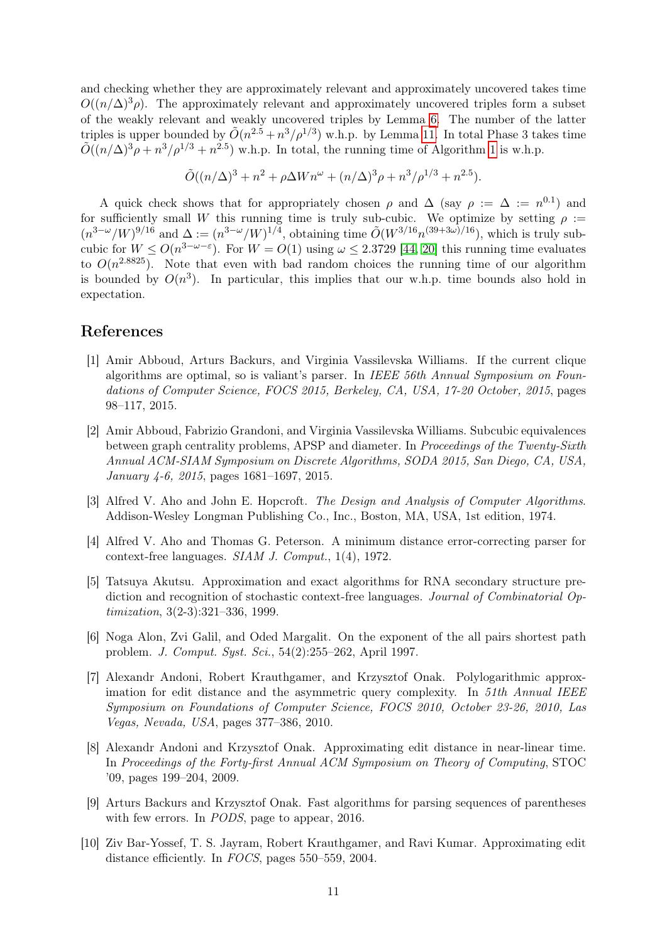and checking whether they are approximately relevant and approximately uncovered takes time  $O((n/\Delta)^3 \rho)$ . The approximately relevant and approximately uncovered triples form a subset of the weakly relevant and weakly uncovered triples by Lemma [6.](#page-10-0) The number of the latter triples is upper bounded by  $\tilde{O}(n^{2.5} + n^3/\rho^{1/3})$  w.h.p. by Lemma [11.](#page-22-1) In total Phase 3 takes time  $\tilde{O}((n/\Delta)^3 \rho + n^3/\rho^{1/3} + n^{2.5})$  w.h.p. In total, the running time of Algorithm [1](#page-12-0) is w.h.p.

$$
\tilde{O}((n/\Delta)^3 + n^2 + \rho \Delta W n^{\omega} + (n/\Delta)^3 \rho + n^3/\rho^{1/3} + n^{2.5}).
$$

A quick check shows that for appropriately chosen  $\rho$  and  $\Delta$  (say  $\rho := \Delta := n^{0.1}$ ) and for sufficiently small W this running time is truly sub-cubic. We optimize by setting  $\rho :=$  $(n^{3-\omega}/W)^{9/16}$  and  $\Delta := (n^{3-\omega}/W)^{1/4}$ , obtaining time  $\tilde{O}(W^{3/16}n^{(39+3\omega)/16})$ , which is truly subcubic for  $W \leq O(n^{3-\omega-\epsilon})$ . For  $W = O(1)$  using  $\omega \leq 2.3729$  [\[44,](#page-14-1) [20\]](#page-13-6) this running time evaluates to  $O(n^{2.8825})$ . Note that even with bad random choices the running time of our algorithm is bounded by  $O(n^3)$ . In particular, this implies that our w.h.p. time bounds also hold in expectation.

### References

- <span id="page-11-3"></span>[1] Amir Abboud, Arturs Backurs, and Virginia Vassilevska Williams. If the current clique algorithms are optimal, so is valiant's parser. In IEEE 56th Annual Symposium on Foundations of Computer Science, FOCS 2015, Berkeley, CA, USA, 17-20 October, 2015, pages 98–117, 2015.
- <span id="page-11-0"></span>[2] Amir Abboud, Fabrizio Grandoni, and Virginia Vassilevska Williams. Subcubic equivalences between graph centrality problems, APSP and diameter. In Proceedings of the Twenty-Sixth Annual ACM-SIAM Symposium on Discrete Algorithms, SODA 2015, San Diego, CA, USA, January 4-6, 2015, pages 1681–1697, 2015.
- <span id="page-11-6"></span>[3] Alfred V. Aho and John E. Hopcroft. The Design and Analysis of Computer Algorithms. Addison-Wesley Longman Publishing Co., Inc., Boston, MA, USA, 1st edition, 1974.
- <span id="page-11-2"></span>[4] Alfred V. Aho and Thomas G. Peterson. A minimum distance error-correcting parser for context-free languages. SIAM J. Comput., 1(4), 1972.
- <span id="page-11-5"></span>[5] Tatsuya Akutsu. Approximation and exact algorithms for RNA secondary structure prediction and recognition of stochastic context-free languages. Journal of Combinatorial Optimization, 3(2-3):321–336, 1999.
- <span id="page-11-1"></span>[6] Noga Alon, Zvi Galil, and Oded Margalit. On the exponent of the all pairs shortest path problem. J. Comput. Syst. Sci., 54(2):255–262, April 1997.
- <span id="page-11-9"></span>[7] Alexandr Andoni, Robert Krauthgamer, and Krzysztof Onak. Polylogarithmic approximation for edit distance and the asymmetric query complexity. In 51th Annual IEEE Symposium on Foundations of Computer Science, FOCS 2010, October 23-26, 2010, Las Vegas, Nevada, USA, pages 377–386, 2010.
- <span id="page-11-8"></span>[8] Alexandr Andoni and Krzysztof Onak. Approximating edit distance in near-linear time. In Proceedings of the Forty-first Annual ACM Symposium on Theory of Computing, STOC '09, pages 199–204, 2009.
- <span id="page-11-4"></span>[9] Arturs Backurs and Krzysztof Onak. Fast algorithms for parsing sequences of parentheses with few errors. In PODS, page to appear, 2016.
- <span id="page-11-7"></span>[10] Ziv Bar-Yossef, T. S. Jayram, Robert Krauthgamer, and Ravi Kumar. Approximating edit distance efficiently. In FOCS, pages 550–559, 2004.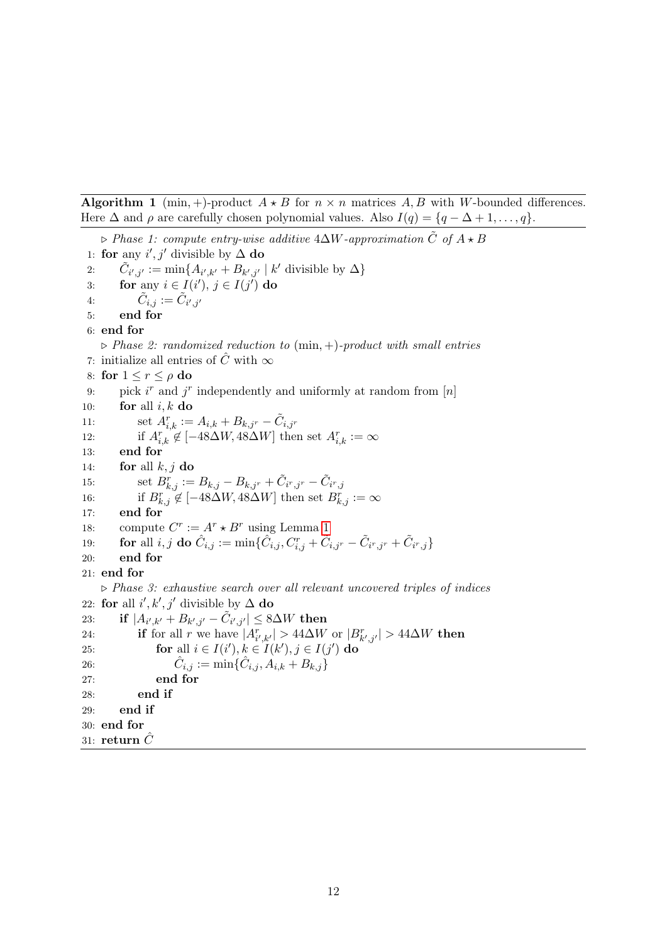<span id="page-12-0"></span>Algorithm 1 (min, +)-product  $A \star B$  for  $n \times n$  matrices  $A, B$  with W-bounded differences. Here  $\Delta$  and  $\rho$  are carefully chosen polynomial values. Also  $I(q) = \{q - \Delta + 1, \ldots, q\}.$ 

```
\triangleright Phase 1: compute entry-wise additive 4∆W-approximation \tilde{C} of A \star B1: for any i', j' divisible by \Delta do
 2: \tilde{C}_{i',j'} := \min\{A_{i',k'} + B_{k',j'} \mid k' \text{ divisible by } \Delta\}3: for any i \in I(i'), j \in I(j') do
 4: \tilde{C}_{i,j} := \tilde{C}_{i',j'}5: end for
 6: end for
    \triangleright Phase 2: randomized reduction to (min, +)-product with small entries
 7: initialize all entries of \hat{C} with \infty8: for 1 \leq r \leq \rho do
 9: pick i^r and j^r independently and uniformly at random from [n]10: for all i, k do
11: set A_{i,k}^r := A_{i,k} + B_{k,j^r} - \tilde{C}_{i,j^r}12: if A_{i,k}^r \notin [-48\Delta W, 48\Delta W] then set A_{i,k}^r := \infty13: end for
14: for all k, j do
15: set B^r_{k,j} := B_{k,j} - B_{k,j^r} + \tilde{C}_{i^r,j^r} - \tilde{C}_{i^r,j}16: if B_{k,j}^r \notin [-48\Delta W, 48\Delta W] then set B_{k,j}^r := \infty17: end for
18: compute C^r := A^r * B^r 1
\text{for all } i,j \textbf{ do } \hat C_{i,j} := \min\{\hat C_{i,j}, C^r_{i,j} + \tilde C_{i,j^r} - \tilde C_{i^r,j^r} + \tilde C_{i^r,j}\}20: end for
21: end for
    \triangleright Phase 3: exhaustive search over all relevant uncovered triples of indices
22: for all i', k', j' divisible by \Delta do
23: \quad \textbf{if} \; |A_{i',k'}+B_{k',j'}-\tilde{C}_{i',j'}|\leq 8\Delta W \; \textbf{then}24: if for all r we have |A_{i',k'}^{r}| > 44\Delta W or |B_{k',j'}^{r}| > 44\Delta W then
25: for all i \in I(i'), k \in I(k'), j \in I(j') do
26: \hat{C}\hat{C}_{i,j} := \min\{\hat{C}_{i,j}, A_{i,k} + B_{k,j}\}27: end for
28: end if
29: end if
30: end for
31: return \tilde{C}
```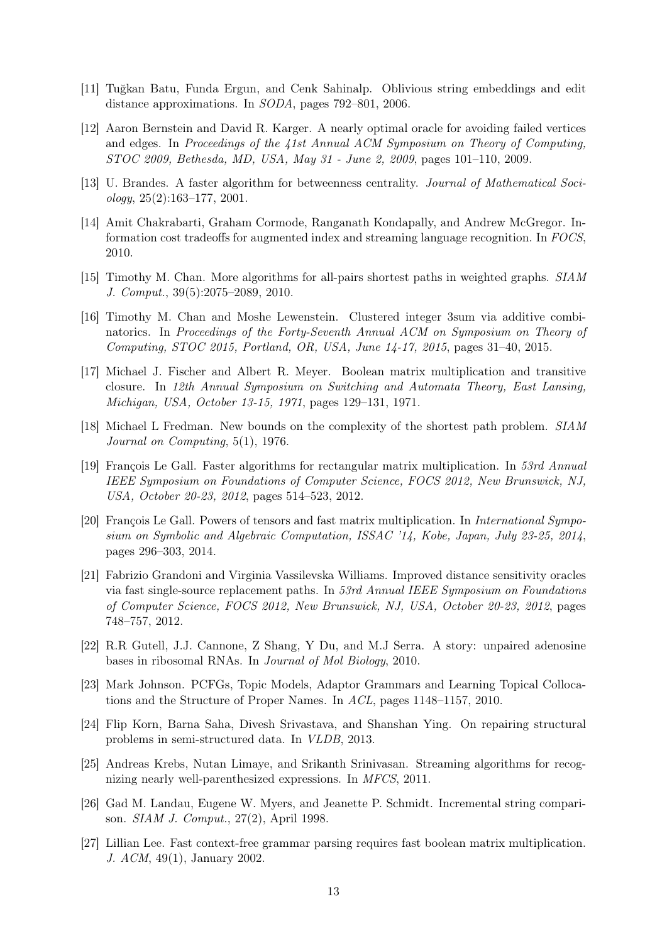- <span id="page-13-15"></span>[11] Tuğkan Batu, Funda Ergun, and Cenk Sahinalp. Oblivious string embeddings and edit distance approximations. In SODA, pages 792–801, 2006.
- <span id="page-13-1"></span>[12] Aaron Bernstein and David R. Karger. A nearly optimal oracle for avoiding failed vertices and edges. In Proceedings of the 41st Annual ACM Symposium on Theory of Computing, STOC 2009, Bethesda, MD, USA, May 31 - June 2, 2009, pages 101–110, 2009.
- <span id="page-13-3"></span>[13] U. Brandes. A faster algorithm for betweenness centrality. Journal of Mathematical Soci $ology, 25(2):163-177, 2001.$
- <span id="page-13-10"></span>[14] Amit Chakrabarti, Graham Cormode, Ranganath Kondapally, and Andrew McGregor. Information cost tradeoffs for augmented index and streaming language recognition. In FOCS, 2010.
- <span id="page-13-5"></span>[15] Timothy M. Chan. More algorithms for all-pairs shortest paths in weighted graphs. SIAM J. Comput., 39(5):2075–2089, 2010.
- <span id="page-13-7"></span>[16] Timothy M. Chan and Moshe Lewenstein. Clustered integer 3sum via additive combinatorics. In Proceedings of the Forty-Seventh Annual ACM on Symposium on Theory of Computing, STOC 2015, Portland, OR, USA, June 14-17, 2015, pages 31–40, 2015.
- <span id="page-13-0"></span>[17] Michael J. Fischer and Albert R. Meyer. Boolean matrix multiplication and transitive closure. In 12th Annual Symposium on Switching and Automata Theory, East Lansing, Michigan, USA, October 13-15, 1971, pages 129–131, 1971.
- <span id="page-13-4"></span>[18] Michael L Fredman. New bounds on the complexity of the shortest path problem. SIAM Journal on Computing, 5(1), 1976.
- <span id="page-13-16"></span>[19] François Le Gall. Faster algorithms for rectangular matrix multiplication. In 53rd Annual IEEE Symposium on Foundations of Computer Science, FOCS 2012, New Brunswick, NJ, USA, October 20-23, 2012, pages 514–523, 2012.
- <span id="page-13-6"></span>[20] François Le Gall. Powers of tensors and fast matrix multiplication. In International Symposium on Symbolic and Algebraic Computation, ISSAC '14, Kobe, Japan, July 23-25, 2014, pages 296–303, 2014.
- <span id="page-13-2"></span>[21] Fabrizio Grandoni and Virginia Vassilevska Williams. Improved distance sensitivity oracles via fast single-source replacement paths. In 53rd Annual IEEE Symposium on Foundations of Computer Science, FOCS 2012, New Brunswick, NJ, USA, October 20-23, 2012, pages 748–757, 2012.
- <span id="page-13-13"></span>[22] R.R Gutell, J.J. Cannone, Z Shang, Y Du, and M.J Serra. A story: unpaired adenosine bases in ribosomal RNAs. In Journal of Mol Biology, 2010.
- <span id="page-13-12"></span>[23] Mark Johnson. PCFGs, Topic Models, Adaptor Grammars and Learning Topical Collocations and the Structure of Proper Names. In ACL, pages 1148–1157, 2010.
- <span id="page-13-11"></span>[24] Flip Korn, Barna Saha, Divesh Srivastava, and Shanshan Ying. On repairing structural problems in semi-structured data. In VLDB, 2013.
- <span id="page-13-9"></span>[25] Andreas Krebs, Nutan Limaye, and Srikanth Srinivasan. Streaming algorithms for recognizing nearly well-parenthesized expressions. In MFCS, 2011.
- <span id="page-13-14"></span>[26] Gad M. Landau, Eugene W. Myers, and Jeanette P. Schmidt. Incremental string comparison. SIAM J. Comput., 27(2), April 1998.
- <span id="page-13-8"></span>[27] Lillian Lee. Fast context-free grammar parsing requires fast boolean matrix multiplication. J. ACM, 49(1), January 2002.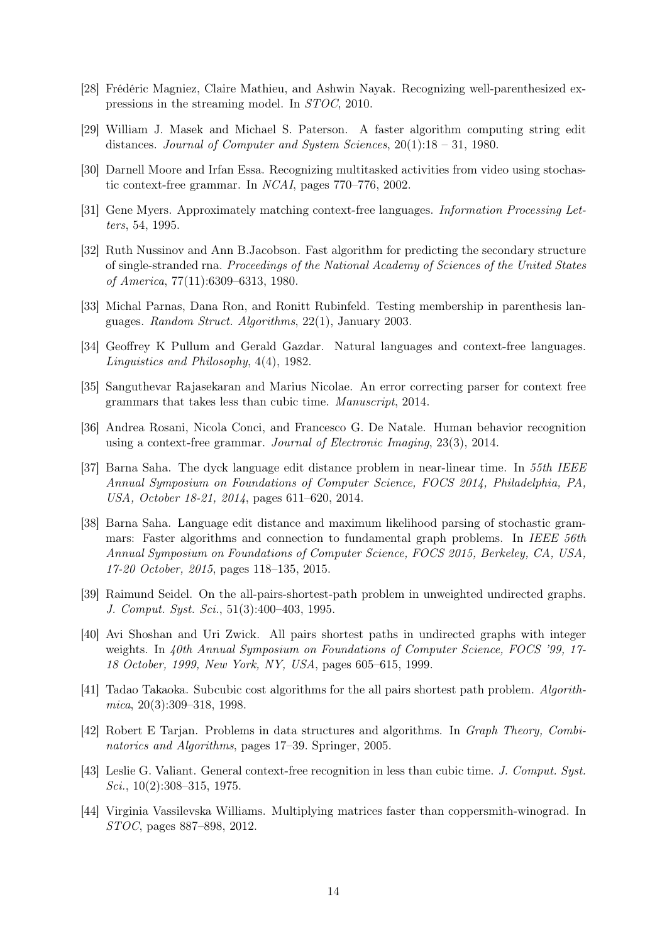- <span id="page-14-9"></span>[28] Frédéric Magniez, Claire Mathieu, and Ashwin Nayak. Recognizing well-parenthesized expressions in the streaming model. In STOC, 2010.
- <span id="page-14-16"></span>[29] William J. Masek and Michael S. Paterson. A faster algorithm computing string edit distances. Journal of Computer and System Sciences, 20(1):18 – 31, 1980.
- <span id="page-14-13"></span>[30] Darnell Moore and Irfan Essa. Recognizing multitasked activities from video using stochastic context-free grammar. In NCAI, pages 770–776, 2002.
- <span id="page-14-6"></span>[31] Gene Myers. Approximately matching context-free languages. Information Processing Letters, 54, 1995.
- <span id="page-14-11"></span>[32] Ruth Nussinov and Ann B.Jacobson. Fast algorithm for predicting the secondary structure of single-stranded rna. Proceedings of the National Academy of Sciences of the United States of America, 77(11):6309–6313, 1980.
- <span id="page-14-10"></span>[33] Michal Parnas, Dana Ron, and Ronitt Rubinfeld. Testing membership in parenthesis languages. Random Struct. Algorithms, 22(1), January 2003.
- <span id="page-14-15"></span>[34] Geoffrey K Pullum and Gerald Gazdar. Natural languages and context-free languages. Linguistics and Philosophy, 4(4), 1982.
- <span id="page-14-8"></span>[35] Sanguthevar Rajasekaran and Marius Nicolae. An error correcting parser for context free grammars that takes less than cubic time. Manuscript, 2014.
- <span id="page-14-14"></span>[36] Andrea Rosani, Nicola Conci, and Francesco G. De Natale. Human behavior recognition using a context-free grammar. Journal of Electronic Imaging, 23(3), 2014.
- <span id="page-14-7"></span>[37] Barna Saha. The dyck language edit distance problem in near-linear time. In 55th IEEE Annual Symposium on Foundations of Computer Science, FOCS 2014, Philadelphia, PA, USA, October 18-21, 2014, pages 611–620, 2014.
- <span id="page-14-5"></span>[38] Barna Saha. Language edit distance and maximum likelihood parsing of stochastic grammars: Faster algorithms and connection to fundamental graph problems. In IEEE 56th Annual Symposium on Foundations of Computer Science, FOCS 2015, Berkeley, CA, USA, 17-20 October, 2015, pages 118–135, 2015.
- <span id="page-14-2"></span>[39] Raimund Seidel. On the all-pairs-shortest-path problem in unweighted undirected graphs. J. Comput. Syst. Sci., 51(3):400–403, 1995.
- <span id="page-14-3"></span>[40] Avi Shoshan and Uri Zwick. All pairs shortest paths in undirected graphs with integer weights. In 40th Annual Symposium on Foundations of Computer Science, FOCS '99, 17-18 October, 1999, New York, NY, USA, pages 605–615, 1999.
- <span id="page-14-0"></span>[41] Tadao Takaoka. Subcubic cost algorithms for the all pairs shortest path problem. Algorithmica, 20(3):309–318, 1998.
- <span id="page-14-12"></span>[42] Robert E Tarjan. Problems in data structures and algorithms. In Graph Theory, Combinatorics and Algorithms, pages 17–39. Springer, 2005.
- <span id="page-14-4"></span>[43] Leslie G. Valiant. General context-free recognition in less than cubic time. J. Comput. Syst.  $Sci., 10(2):308-315, 1975.$
- <span id="page-14-1"></span>[44] Virginia Vassilevska Williams. Multiplying matrices faster than coppersmith-winograd. In STOC, pages 887–898, 2012.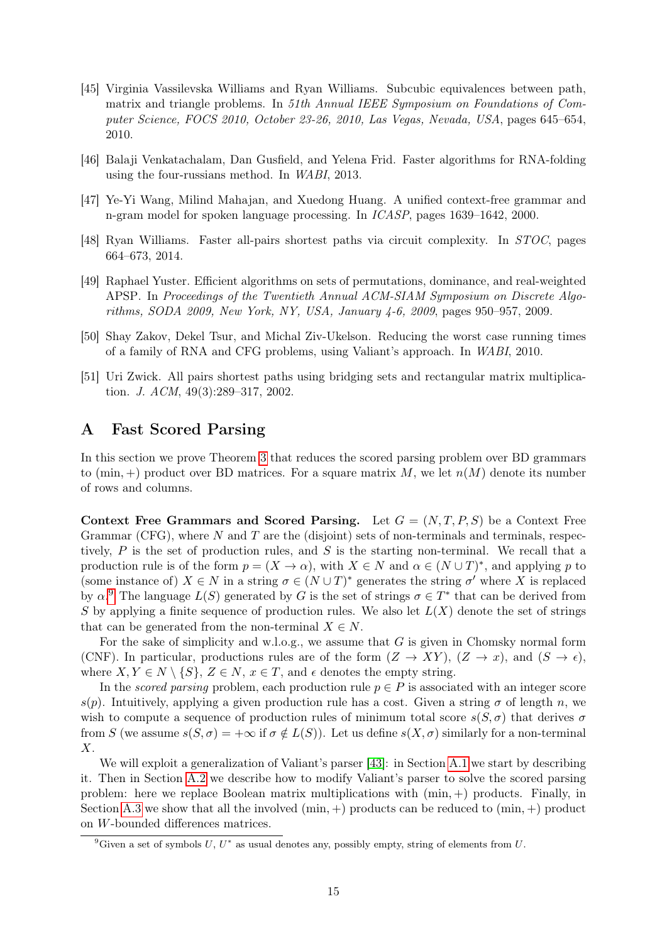- <span id="page-15-0"></span>[45] Virginia Vassilevska Williams and Ryan Williams. Subcubic equivalences between path, matrix and triangle problems. In 51th Annual IEEE Symposium on Foundations of Computer Science, FOCS 2010, October 23-26, 2010, Las Vegas, Nevada, USA, pages 645–654, 2010.
- <span id="page-15-5"></span>[46] Balaji Venkatachalam, Dan Gusfield, and Yelena Frid. Faster algorithms for RNA-folding using the four-russians method. In WABI, 2013.
- <span id="page-15-7"></span>[47] Ye-Yi Wang, Milind Mahajan, and Xuedong Huang. A unified context-free grammar and n-gram model for spoken language processing. In ICASP, pages 1639–1642, 2000.
- <span id="page-15-1"></span>[48] Ryan Williams. Faster all-pairs shortest paths via circuit complexity. In STOC, pages 664–673, 2014.
- <span id="page-15-2"></span>[49] Raphael Yuster. Efficient algorithms on sets of permutations, dominance, and real-weighted APSP. In Proceedings of the Twentieth Annual ACM-SIAM Symposium on Discrete Algorithms, SODA 2009, New York, NY, USA, January 4-6, 2009, pages 950–957, 2009.
- <span id="page-15-6"></span>[50] Shay Zakov, Dekel Tsur, and Michal Ziv-Ukelson. Reducing the worst case running times of a family of RNA and CFG problems, using Valiant's approach. In WABI, 2010.
- <span id="page-15-3"></span>[51] Uri Zwick. All pairs shortest paths using bridging sets and rectangular matrix multiplication. J. ACM, 49(3):289–317, 2002.

### <span id="page-15-4"></span>A Fast Scored Parsing

In this section we prove Theorem [3](#page-4-2) that reduces the scored parsing problem over BD grammars to (min, +) product over BD matrices. For a square matrix M, we let  $n(M)$  denote its number of rows and columns.

Context Free Grammars and Scored Parsing. Let  $G = (N, T, P, S)$  be a Context Free Grammar (CFG), where  $N$  and  $T$  are the (disjoint) sets of non-terminals and terminals, respectively,  $P$  is the set of production rules, and  $S$  is the starting non-terminal. We recall that a production rule is of the form  $p = (X \to \alpha)$ , with  $X \in N$  and  $\alpha \in (N \cup T)^*$ , and applying p to (some instance of)  $X \in N$  in a string  $\sigma \in (N \cup T)^*$  generates the string  $\sigma'$  where X is replaced by  $\alpha$ <sup>[9](#page-15-8)</sup>. The language  $L(S)$  generated by G is the set of strings  $\sigma \in T^*$  that can be derived from S by applying a finite sequence of production rules. We also let  $L(X)$  denote the set of strings that can be generated from the non-terminal  $X \in N$ .

For the sake of simplicity and w.l.o.g., we assume that  $G$  is given in Chomsky normal form (CNF). In particular, productions rules are of the form  $(Z \to XY)$ ,  $(Z \to x)$ , and  $(S \to \epsilon)$ , where  $X, Y \in N \setminus \{S\}, Z \in N, x \in T$ , and  $\epsilon$  denotes the empty string.

In the scored parsing problem, each production rule  $p \in P$  is associated with an integer score s(p). Intuitively, applying a given production rule has a cost. Given a string  $\sigma$  of length n, we wish to compute a sequence of production rules of minimum total score  $s(S,\sigma)$  that derives  $\sigma$ from S (we assume  $s(S, \sigma) = +\infty$  if  $\sigma \notin L(S)$ ). Let us define  $s(X, \sigma)$  similarly for a non-terminal  $X$ .

We will exploit a generalization of Valiant's parser [\[43\]](#page-14-4): in Section [A.1](#page-16-0) we start by describing it. Then in Section [A.2](#page-18-0) we describe how to modify Valiant's parser to solve the scored parsing problem: here we replace Boolean matrix multiplications with  $(\min, +)$  products. Finally, in Section [A.3](#page-18-1) we show that all the involved  $(\min, +)$  products can be reduced to  $(\min, +)$  product on W-bounded differences matrices.

<span id="page-15-8"></span><sup>&</sup>lt;sup>9</sup>Given a set of symbols U,  $U^*$  as usual denotes any, possibly empty, string of elements from U.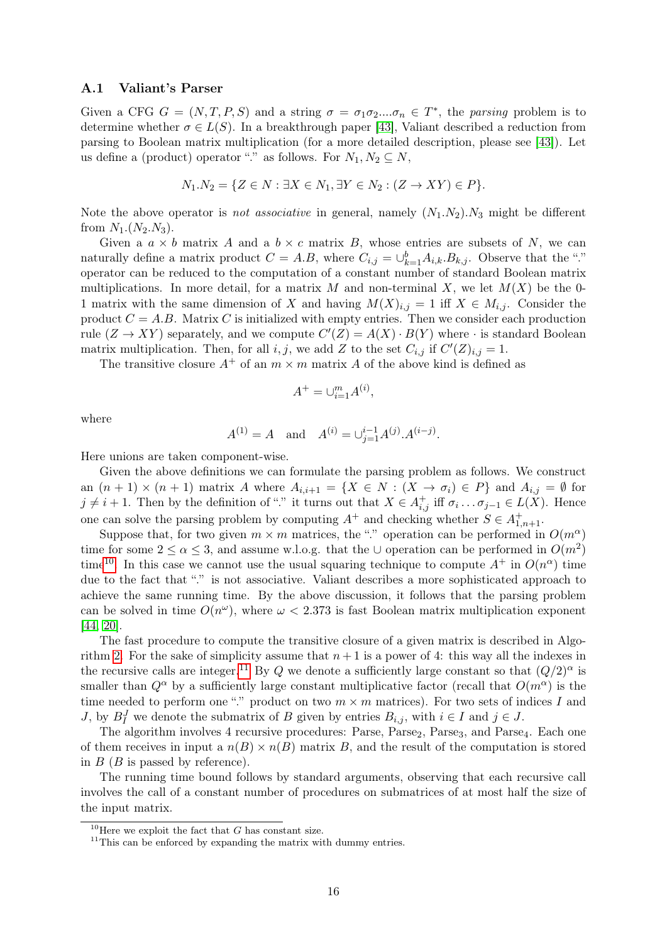#### <span id="page-16-0"></span>A.1 Valiant's Parser

Given a CFG  $G = (N, T, P, S)$  and a string  $\sigma = \sigma_1 \sigma_2 ... \sigma_n \in T^*$ , the parsing problem is to determine whether  $\sigma \in L(S)$ . In a breakthrough paper [\[43\]](#page-14-4), Valiant described a reduction from parsing to Boolean matrix multiplication (for a more detailed description, please see [\[43\]](#page-14-4)). Let us define a (product) operator "." as follows. For  $N_1, N_2 \subseteq N$ ,

$$
N_1.N_2 = \{ Z \in N : \exists X \in N_1, \exists Y \in N_2 : (Z \to XY) \in P \}.
$$

Note the above operator is *not associative* in general, namely  $(N_1.N_2).N_3$  might be different from  $N_1.(N_2.N_3).$ 

Given a  $a \times b$  matrix A and a  $b \times c$  matrix B, whose entries are subsets of N, we can naturally define a matrix product  $C = A.B$ , where  $C_{i,j} = \bigcup_{k=1}^{b} A_{i,k} . B_{k,j}$ . Observe that the "." operator can be reduced to the computation of a constant number of standard Boolean matrix multiplications. In more detail, for a matrix M and non-terminal X, we let  $M(X)$  be the 0-1 matrix with the same dimension of X and having  $M(X)_{i,j} = 1$  iff  $X \in M_{i,j}$ . Consider the product  $C = A.B.$  Matrix C is initialized with empty entries. Then we consider each production rule  $(Z \to XY)$  separately, and we compute  $C'(Z) = A(X) \cdot B(Y)$  where  $\cdot$  is standard Boolean matrix multiplication. Then, for all i, j, we add Z to the set  $C_{i,j}$  if  $C'(Z)_{i,j} = 1$ .

The transitive closure  $A^+$  of an  $m \times m$  matrix A of the above kind is defined as

$$
A^+ = \cup_{i=1}^m A^{(i)},
$$

where

$$
A^{(1)} = A
$$
 and  $A^{(i)} = \bigcup_{j=1}^{i-1} A^{(j)} A^{(i-j)}$ .

Here unions are taken component-wise.

Given the above definitions we can formulate the parsing problem as follows. We construct an  $(n + 1) \times (n + 1)$  matrix A where  $A_{i,i+1} = \{X \in N : (X \to \sigma_i) \in P\}$  and  $A_{i,j} = \emptyset$  for  $j \neq i+1$ . Then by the definition of "." it turns out that  $X \in A^+_{i,j}$  iff  $\sigma_i \dots \sigma_{j-1} \in L(X)$ . Hence one can solve the parsing problem by computing  $A^+$  and checking whether  $S \in A^+_{1,n+1}$ .

Suppose that, for two given  $m \times m$  matrices, the "." operation can be performed in  $O(m^{\alpha})$ time for some  $2 \le \alpha \le 3$ , and assume w.l.o.g. that the ∪ operation can be performed in  $O(m^2)$ time<sup>[10](#page-16-1)</sup>. In this case we cannot use the usual squaring technique to compute  $A^+$  in  $O(n^{\alpha})$  time due to the fact that "." is not associative. Valiant describes a more sophisticated approach to achieve the same running time. By the above discussion, it follows that the parsing problem can be solved in time  $O(n^{\omega})$ , where  $\omega < 2.373$  is fast Boolean matrix multiplication exponent [\[44,](#page-14-1) [20\]](#page-13-6).

The fast procedure to compute the transitive closure of a given matrix is described in Algo-rithm [2.](#page-17-0) For the sake of simplicity assume that  $n+1$  is a power of 4: this way all the indexes in the recursive calls are integer.<sup>[11](#page-16-2)</sup> By Q we denote a sufficiently large constant so that  $(Q/2)^{\alpha}$  is smaller than  $Q^{\alpha}$  by a sufficiently large constant multiplicative factor (recall that  $O(m^{\alpha})$ ) is the time needed to perform one "." product on two  $m \times m$  matrices). For two sets of indices I and J, by  $B_I^J$  we denote the submatrix of B given by entries  $B_{i,j}$ , with  $i \in I$  and  $j \in J$ .

The algorithm involves 4 recursive procedures: Parse, Parse<sub>2</sub>, Parse<sub>3</sub>, and Parse<sub>4</sub>. Each one of them receives in input a  $n(B) \times n(B)$  matrix B, and the result of the computation is stored in  $B(B)$  is passed by reference).

The running time bound follows by standard arguments, observing that each recursive call involves the call of a constant number of procedures on submatrices of at most half the size of the input matrix.

<span id="page-16-1"></span><sup>&</sup>lt;sup>10</sup>Here we exploit the fact that G has constant size.

<span id="page-16-2"></span> $11$ This can be enforced by expanding the matrix with dummy entries.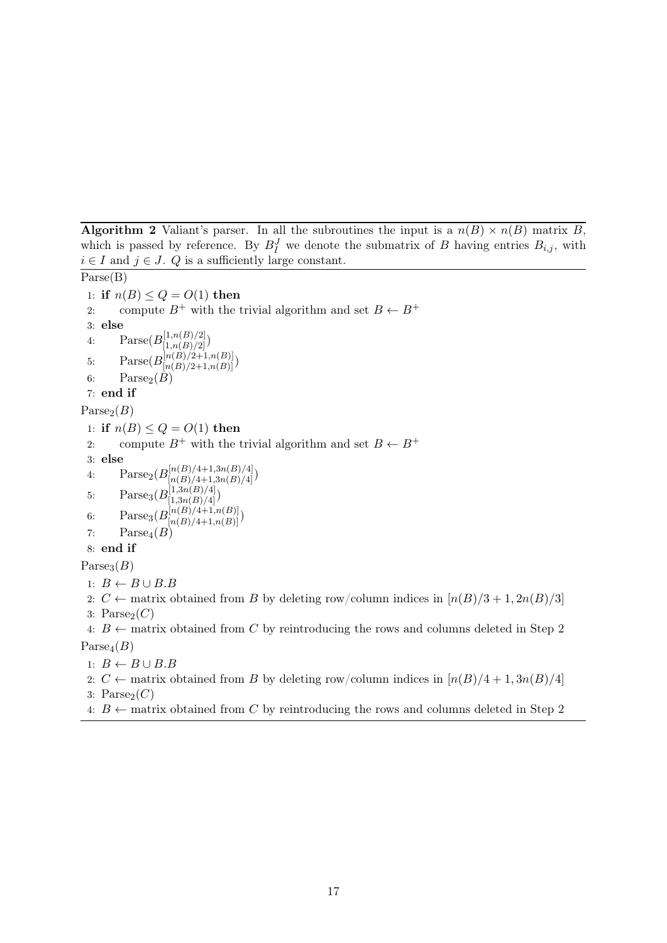<span id="page-17-0"></span>**Algorithm 2** Valiant's parser. In all the subroutines the input is a  $n(B) \times n(B)$  matrix B, which is passed by reference. By  $B_I^J$  we denote the submatrix of B having entries  $B_{i,j}$ , with  $i \in I$  and  $j \in J$ . Q is a sufficiently large constant.

Parse(B) 1: if  $n(B) \le Q = O(1)$  then 2: compute  $B^+$  with the trivial algorithm and set  $B \leftarrow B^+$ 3: else 4:  $\text{Parse}(B_{[1,n(B)/2]}^{[1,n(B)/2]})$ 5:  $\text{Parse}(B_{[n(B)/2+1,n(B)]}^{[n(B)/2+1,n(B)]})$ 6:  $\text{Parse}_2(\tilde{B})$ 7: end if  $\text{Parse}_2(B)$ 1: if  $n(B) \le Q = O(1)$  then 2: compute  $B^+$  with the trivial algorithm and set  $B \leftarrow B^+$ 3: else 4:  $\text{Parse}_2(B_{[n(B)/4+1,3n(B)/4]}^{[n(B)/4+1,3n(B)/4]})$ 5: Parse<sub>3</sub> $(B_{[1,3n(B)/4]}^{[1,3n(B)/4]})$ 6:  $\text{Parse}_3(B_{[n(B)/4+1,n(B)]}^{[n(B)/4+1,n(B)]})$ 7:  $Parse<sub>4</sub>(B)$ 8: end if  $\text{Parse}_3(B)$ 1:  $B \leftarrow B \cup B.B$ 2:  $C \leftarrow$  matrix obtained from B by deleting row/column indices in  $\lceil n(B)/3 + 1, 2n(B)/3 \rceil$ 3:  $Parse<sub>2</sub>(C)$ 4:  $B \leftarrow$  matrix obtained from C by reintroducing the rows and columns deleted in Step 2  $Parse<sub>4</sub>(B)$ 

1:  $B \leftarrow B \cup B.B$ 

- 2:  $C \leftarrow$  matrix obtained from B by deleting row/column indices in  $\lceil n(B)/4 + 1, 3n(B)/4 \rceil$
- 3:  $\text{Parse}_2(C)$
- 4:  $B \leftarrow$  matrix obtained from C by reintroducing the rows and columns deleted in Step 2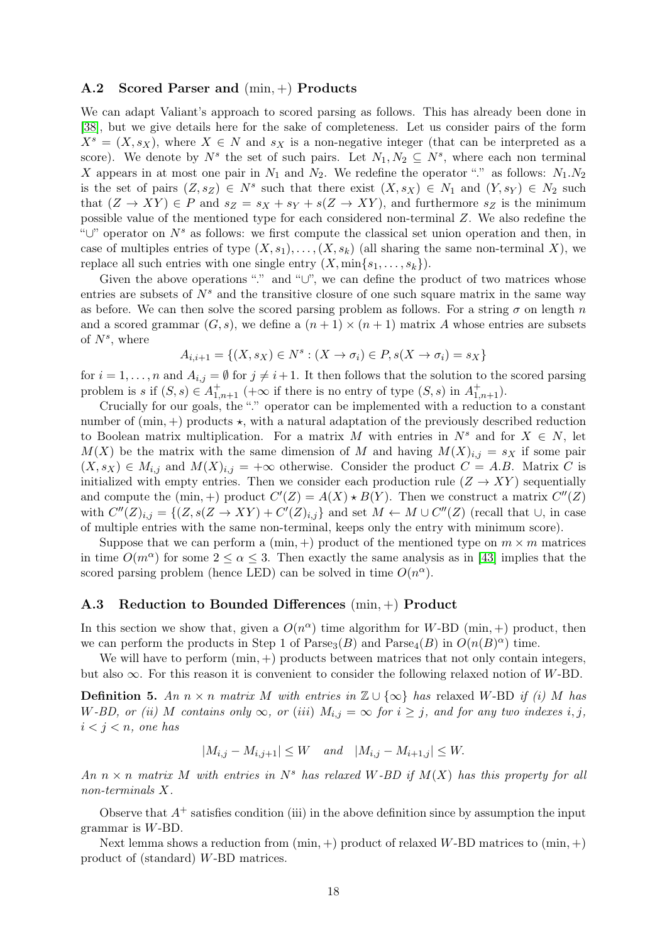#### <span id="page-18-0"></span>A.2 Scored Parser and (min, +) Products

We can adapt Valiant's approach to scored parsing as follows. This has already been done in [\[38\]](#page-14-5), but we give details here for the sake of completeness. Let us consider pairs of the form  $X^s = (X, s_X)$ , where  $X \in N$  and  $s_X$  is a non-negative integer (that can be interpreted as a score). We denote by  $N^s$  the set of such pairs. Let  $N_1, N_2 \subseteq N^s$ , where each non terminal X appears in at most one pair in  $N_1$  and  $N_2$ . We redefine the operator "." as follows:  $N_1.N_2$ is the set of pairs  $(Z, s_Z) \in N^s$  such that there exist  $(X, s_X) \in N_1$  and  $(Y, s_Y) \in N_2$  such that  $(Z \to XY) \in P$  and  $s_Z = s_X + s_Y + s(Z \to XY)$ , and furthermore  $s_Z$  is the minimum possible value of the mentioned type for each considered non-terminal Z. We also redefine the " $\cup$ " operator on  $N^s$  as follows: we first compute the classical set union operation and then, in case of multiples entries of type  $(X, s_1), \ldots, (X, s_k)$  (all sharing the same non-terminal X), we replace all such entries with one single entry  $(X, \min\{s_1, \ldots, s_k\})$ .

Given the above operations "." and "∪", we can define the product of two matrices whose entries are subsets of  $N<sup>s</sup>$  and the transitive closure of one such square matrix in the same way as before. We can then solve the scored parsing problem as follows. For a string  $\sigma$  on length n and a scored grammar  $(G, s)$ , we define a  $(n + 1) \times (n + 1)$  matrix A whose entries are subsets of  $N^s$ , where

$$
A_{i,i+1} = \{(X, s_X) \in N^s : (X \to \sigma_i) \in P, s(X \to \sigma_i) = s_X\}
$$

for  $i = 1, \ldots, n$  and  $A_{i,j} = \emptyset$  for  $j \neq i+1$ . It then follows that the solution to the scored parsing problem is s if  $(S, s) \in A^+_{1,n+1}$  (+ $\infty$  if there is no entry of type  $(S, s)$  in  $A^+_{1,n+1}$ ).

Crucially for our goals, the "." operator can be implemented with a reduction to a constant number of  $(min, +)$  products  $\star$ , with a natural adaptation of the previously described reduction to Boolean matrix multiplication. For a matrix M with entries in  $N^s$  and for  $X \in N$ , let  $M(X)$  be the matrix with the same dimension of M and having  $M(X)_{i,j} = s_X$  if some pair  $(X, s_X) \in M_{i,j}$  and  $M(X)_{i,j} = +\infty$  otherwise. Consider the product  $C = A.B$ . Matrix C is initialized with empty entries. Then we consider each production rule  $(Z \to XY)$  sequentially and compute the (min, +) product  $C'(Z) = A(X) \star B(Y)$ . Then we construct a matrix  $C''(Z)$ with  $C''(Z)_{i,j} = \{(Z, s(Z \to XY) + C'(Z)_{i,j}\}\$ and set  $M \leftarrow M \cup C''(Z)$  (recall that  $\cup$ , in case of multiple entries with the same non-terminal, keeps only the entry with minimum score).

Suppose that we can perform a  $(\min, +)$  product of the mentioned type on  $m \times m$  matrices in time  $O(m^{\alpha})$  for some  $2 \leq \alpha \leq 3$ . Then exactly the same analysis as in [\[43\]](#page-14-4) implies that the scored parsing problem (hence LED) can be solved in time  $O(n^{\alpha})$ .

### <span id="page-18-1"></span>A.3 Reduction to Bounded Differences (min, +) Product

In this section we show that, given a  $O(n^{\alpha})$  time algorithm for W-BD (min, +) product, then we can perform the products in Step 1 of Parse<sub>3</sub> $(B)$  and Parse<sub>4</sub> $(B)$  in  $O(n(B)^{\alpha})$  time.

We will have to perform  $(min, +)$  products between matrices that not only contain integers, but also  $\infty$ . For this reason it is convenient to consider the following relaxed notion of W-BD.

**Definition 5.** An  $n \times n$  matrix M with entries in  $\mathbb{Z} \cup {\infty}$  has relaxed W-BD if (i) M has W-BD, or (ii) M contains only  $\infty$ , or (iii)  $M_{i,j} = \infty$  for  $i \geq j$ , and for any two indexes i, j,  $i < j < n$ , one has

$$
|M_{i,j} - M_{i,j+1}| \le W \quad and \quad |M_{i,j} - M_{i+1,j}| \le W.
$$

An  $n \times n$  matrix M with entries in  $N^s$  has relaxed W-BD if  $M(X)$  has this property for all non-terminals X.

Observe that  $A^+$  satisfies condition (iii) in the above definition since by assumption the input grammar is W-BD.

<span id="page-18-2"></span>Next lemma shows a reduction from  $(\min, +)$  product of relaxed W-BD matrices to  $(\min, +)$ product of (standard) W-BD matrices.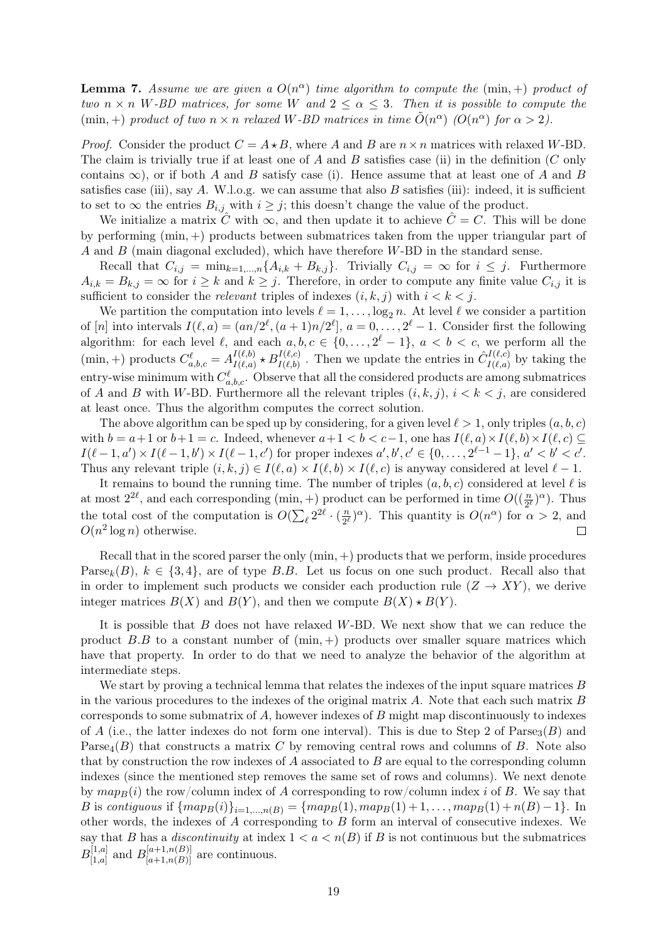**Lemma 7.** Assume we are given a  $O(n^{\alpha})$  time algorithm to compute the (min, +) product of two  $n \times n$  W-BD matrices, for some W and  $2 \leq \alpha \leq 3$ . Then it is possible to compute the (min, +) product of two  $n \times n$  relaxed W-BD matrices in time  $\tilde{O}(n^{\alpha})$  ( $O(n^{\alpha})$ ) for  $\alpha > 2$ ).

*Proof.* Consider the product  $C = A \star B$ , where A and B are  $n \times n$  matrices with relaxed W-BD. The claim is trivially true if at least one of A and B satisfies case (ii) in the definition  $(C \text{ only})$ contains  $\infty$ ), or if both A and B satisfy case (i). Hence assume that at least one of A and B satisfies case (iii), say  $A$ . W.l.o.g. we can assume that also  $B$  satisfies (iii): indeed, it is sufficient to set to  $\infty$  the entries  $B_{i,j}$  with  $i \geq j$ ; this doesn't change the value of the product.

We initialize a matrix  $\hat{C}$  with  $\infty$ , and then update it to achieve  $\hat{C} = C$ . This will be done by performing (min, +) products between submatrices taken from the upper triangular part of A and  $B$  (main diagonal excluded), which have therefore  $W$ -BD in the standard sense.

Recall that  $C_{i,j} = \min_{k=1,\dots,n} \{A_{i,k} + B_{k,j}\}.$  Trivially  $C_{i,j} = \infty$  for  $i \leq j$ . Furthermore  $A_{i,k} = B_{k,j} = \infty$  for  $i \geq k$  and  $k \geq j$ . Therefore, in order to compute any finite value  $C_{i,j}$  it is sufficient to consider the *relevant* triples of indexes  $(i, k, j)$  with  $i < k < j$ .

We partition the computation into levels  $\ell = 1, \ldots, \log_2 n$ . At level  $\ell$  we consider a partition of [n] into intervals  $I(\ell, a) = (an/2^{\ell}, (a+1)n/2^{\ell}], a = 0, \ldots, 2^{\ell} - 1$ . Consider first the following algorithm: for each level  $\ell$ , and each  $a, b, c \in \{0, \ldots, 2^{\ell} - 1\}$ ,  $a < b < c$ , we perform all the (min, +) products  $C_{a,b,c}^{\ell} = A_{I(\ell,a)}^{I(\ell,b)}$  $I^{(\ell,b)}_{I(\ell,a)} \star B^{I(\ell,c)}_{I(\ell,b)}$ . Then we update the entries in  $\hat{C}^{I(\ell,c)}_{I(\ell,a)}$  $I^{(l, c, c)}_{I(l, a)}$  by taking the entry-wise minimum with  $C_{a,b,c}^{\ell}$ . Observe that all the considered products are among submatrices of A and B with W-BD. Furthermore all the relevant triples  $(i, k, j)$ ,  $i < k < j$ , are considered at least once. Thus the algorithm computes the correct solution.

The above algorithm can be sped up by considering, for a given level  $\ell > 1$ , only triples  $(a, b, c)$ with  $b = a+1$  or  $b+1 = c$ . Indeed, whenever  $a+1 < b < c-1$ , one has  $I(\ell, a) \times I(\ell, b) \times I(\ell, c) \subseteq$  $I(\ell - 1, a') \times I(\ell - 1, b') \times I(\ell - 1, c')$  for proper indexes  $a', b', c' \in \{0, \ldots, 2^{\ell - 1} - 1\}, a' < b' < c'.$ Thus any relevant triple  $(i, k, j) \in I(\ell, a) \times I(\ell, b) \times I(\ell, c)$  is anyway considered at level  $\ell - 1$ .

It remains to bound the running time. The number of triples  $(a, b, c)$  considered at level  $\ell$  is at most  $2^{2\ell}$ , and each corresponding (min, +) product can be performed in time  $O((\frac{n}{2^{\ell}})^{\alpha})$ . Thus the total cost of the computation is  $O(\sum_{\ell} 2^{2\ell} \cdot (\frac{n}{2^{\ell}}))$  $\frac{n}{2^{\ell}}$  ( $\alpha$ ). This quantity is  $O(n^{\alpha})$  for  $\alpha > 2$ , and  $O(n^2 \log n)$  otherwise.  $\Box$ 

Recall that in the scored parser the only  $(min, +)$  products that we perform, inside procedures Parse<sub>k</sub>(B),  $k \in \{3, 4\}$ , are of type B.B. Let us focus on one such product. Recall also that in order to implement such products we consider each production rule  $(Z \to XY)$ , we derive integer matrices  $B(X)$  and  $B(Y)$ , and then we compute  $B(X) \star B(Y)$ .

It is possible that  $B$  does not have relaxed  $W$ -BD. We next show that we can reduce the product B.B to a constant number of  $(\min, +)$  products over smaller square matrices which have that property. In order to do that we need to analyze the behavior of the algorithm at intermediate steps.

<span id="page-19-0"></span>We start by proving a technical lemma that relates the indexes of the input square matrices  $B$ in the various procedures to the indexes of the original matrix  $A$ . Note that each such matrix  $B$ corresponds to some submatrix of  $A$ , however indexes of  $B$  might map discontinuously to indexes of A (i.e., the latter indexes do not form one interval). This is due to Step 2 of Parse<sub>3</sub>(B) and Parse<sub>4</sub> $(B)$  that constructs a matrix C by removing central rows and columns of B. Note also that by construction the row indexes of  $A$  associated to  $B$  are equal to the corresponding column indexes (since the mentioned step removes the same set of rows and columns). We next denote by  $map_B(i)$  the row/column index of A corresponding to row/column index i of B. We say that B is contiguous if  $\{map_B(i)\}_{i=1,\dots,n(B)} = \{map_B(1), map_B(1) + 1, \dots, map_B(1) + n(B) - 1\}$ . In other words, the indexes of A corresponding to B form an interval of consecutive indexes. We say that B has a *discontinuity* at index  $1 < a < n(B)$  if B is not continuous but the submatrices  $B_{[1,a]}^{[1,a]}$  $\prod_{[1,a]}^{[1,a]}$  and  $B_{[a+1,n(B)]}^{[a+1,n(B)]}$  are continuous.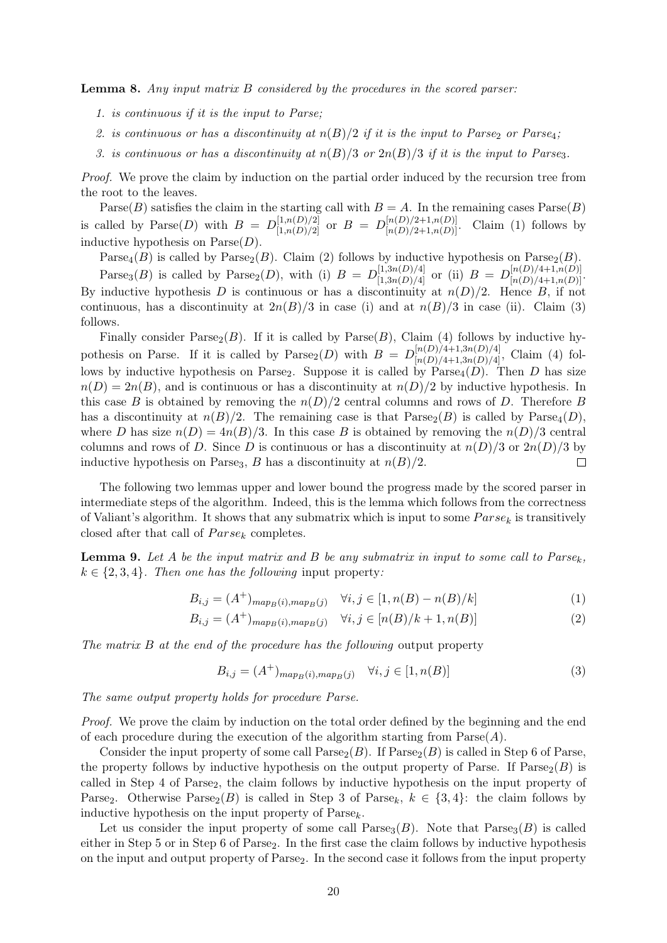Lemma 8. Any input matrix B considered by the procedures in the scored parser:

- 1. is continuous if it is the input to Parse;
- 2. is continuous or has a discontinuity at  $n(B)/2$  if it is the input to Parse<sub>2</sub> or Parse<sub>4</sub>;
- 3. is continuous or has a discontinuity at  $n(B)/3$  or  $2n(B)/3$  if it is the input to Parses.

Proof. We prove the claim by induction on the partial order induced by the recursion tree from the root to the leaves.

Parse(B) satisfies the claim in the starting call with  $B = A$ . In the remaining cases  $Parse(B)$ is called by  $\text{Parse}(D)$  with  $B = D_{[1,n(D)/2]}^{[1,n(D)/2]}$  or  $B = D_{[n(D)/2+1,n(D)]}^{[n(D)/2+1,n(D)]}$ . Claim (1) follows by inductive hypothesis on  $\text{Parse}(D)$ .

Parse<sub>4</sub>(B) is called by Parse<sub>2</sub>(B). Claim (2) follows by inductive hypothesis on Parse<sub>2</sub>(B).

Parse<sub>3</sub>(B) is called by Parse<sub>2</sub>(D), with (i)  $B = D_{[1,3n(D)/4]}^{[1,3n(D)/4]}$  or (ii)  $B = D_{[n(D)/4+1,n(D)]}^{[n(D)/4+1,n(D)]}$ . By inductive hypothesis D is continuous or has a discontinuity at  $n(D)/2$ . Hence B, if not continuous, has a discontinuity at  $2n(B)/3$  in case (i) and at  $n(B)/3$  in case (ii). Claim (3) follows.

Finally consider  $\text{Parse}_2(B)$ . If it is called by  $\text{Parse}(B)$ , Claim (4) follows by inductive hypothesis on Parse. If it is called by  $\text{Parse}_2(D)$  with  $B = D_{[n(D)/4+1,3n(D)/4]}^{[n(D)/4+1,3n(D)/4]}$ , Claim (4) follows by inductive hypothesis on Parse<sub>2</sub>. Suppose it is called by  $\text{Parse}_4(D)$ . Then D has size  $n(D) = 2n(B)$ , and is continuous or has a discontinuity at  $n(D)/2$  by inductive hypothesis. In this case B is obtained by removing the  $n(D)/2$  central columns and rows of D. Therefore B has a discontinuity at  $n(B)/2$ . The remaining case is that  $\text{Parse}_2(B)$  is called by  $\text{Parse}_4(D)$ , where D has size  $n(D) = 4n(B)/3$ . In this case B is obtained by removing the  $n(D)/3$  central columns and rows of D. Since D is continuous or has a discontinuity at  $n(D)/3$  or  $2n(D)/3$  by inductive hypothesis on Parse<sub>3</sub>, B has a discontinuity at  $n(B)/2$ .  $\Box$ 

The following two lemmas upper and lower bound the progress made by the scored parser in intermediate steps of the algorithm. Indeed, this is the lemma which follows from the correctness of Valiant's algorithm. It shows that any submatrix which is input to some  $Parse_k$  is transitively closed after that call of  $Parse_k$  completes.

<span id="page-20-0"></span>**Lemma 9.** Let A be the input matrix and B be any submatrix in input to some call to  $Parse_k$ ,  $k \in \{2, 3, 4\}$ . Then one has the following input property:

$$
B_{i,j} = (A^+)_{map_B(i),map_B(j)} \quad \forall i, j \in [1, n(B) - n(B)/k]
$$
 (1)

$$
B_{i,j} = (A^+)_{map_B(i),map_B(j)} \quad \forall i, j \in [n(B)/k+1, n(B)]
$$
 (2)

The matrix B at the end of the procedure has the following output property

$$
B_{i,j} = (A^+)_{map_B(i),map_B(j)} \quad \forall i, j \in [1, n(B)]
$$
\n
$$
(3)
$$

The same output property holds for procedure Parse.

Proof. We prove the claim by induction on the total order defined by the beginning and the end of each procedure during the execution of the algorithm starting from  $\text{Parse}(A)$ .

Consider the input property of some call  $\text{Parse}_2(B)$ . If  $\text{Parse}_2(B)$  is called in Step 6 of Parse, the property follows by inductive hypothesis on the output property of Parse. If  $\text{Parse}_2(B)$  is called in Step 4 of Parse<sub>2</sub>, the claim follows by inductive hypothesis on the input property of Parse<sub>2</sub>. Otherwise Parse<sub>2</sub>(B) is called in Step 3 of Parse<sub>k</sub>,  $k \in \{3, 4\}$ : the claim follows by inductive hypothesis on the input property of  $\text{Parse}_k$ .

Let us consider the input property of some call  $\text{Parse}_3(B)$ . Note that  $\text{Parse}_3(B)$  is called either in Step 5 or in Step 6 of Parse<sub>2</sub>. In the first case the claim follows by inductive hypothesis on the input and output property of Parse2. In the second case it follows from the input property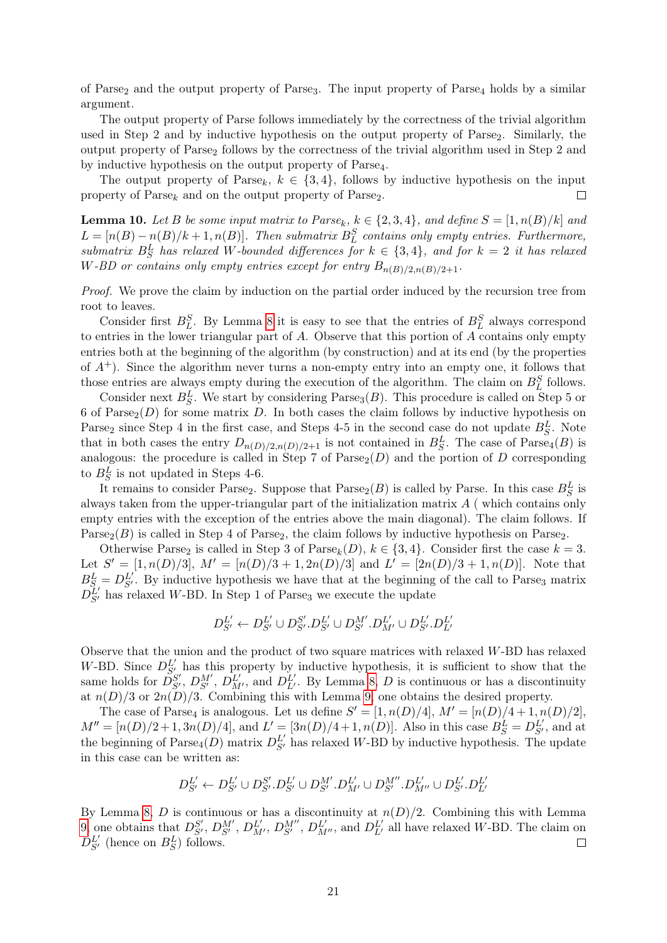of Parse<sub>2</sub> and the output property of Parse<sub>3</sub>. The input property of Parse<sub>4</sub> holds by a similar argument.

The output property of Parse follows immediately by the correctness of the trivial algorithm used in Step 2 and by inductive hypothesis on the output property of Parse<sub>2</sub>. Similarly, the output property of Parse<sup>2</sup> follows by the correctness of the trivial algorithm used in Step 2 and by inductive hypothesis on the output property of Parse4.

The output property of Parse<sub>k</sub>,  $k \in \{3, 4\}$ , follows by inductive hypothesis on the input property of  $\text{Parse}_k$  and on the output property of  $\text{Parse}_2$ .  $\Box$ 

<span id="page-21-0"></span>**Lemma 10.** Let B be some input matrix to Parse<sub>k</sub>,  $k \in \{2,3,4\}$ , and define  $S = [1, n(B)/k]$  and  $L = [n(B) - n(B)/k + 1, n(B)].$  Then submatrix  $B_L^S$  contains only empty entries. Furthermore, submatrix  $B_S^L$  has relaxed W-bounded differences for  $k \in \{3, 4\}$ , and for  $k = 2$  it has relaxed W-BD or contains only empty entries except for entry  $B_{n(B)/2,n(B)/2+1}$ .

Proof. We prove the claim by induction on the partial order induced by the recursion tree from root to leaves.

Consider first  $B_L^S$ . By Lemma [8](#page-19-0) it is easy to see that the entries of  $B_L^S$  always correspond to entries in the lower triangular part of A. Observe that this portion of A contains only empty entries both at the beginning of the algorithm (by construction) and at its end (by the properties of  $A^+$ ). Since the algorithm never turns a non-empty entry into an empty one, it follows that those entries are always empty during the execution of the algorithm. The claim on  $B_L^S$  follows.

Consider next  $B_S^L$ . We start by considering Parse<sub>3</sub> $(B)$ . This procedure is called on Step 5 or 6 of Parse<sub>2</sub>(D) for some matrix D. In both cases the claim follows by inductive hypothesis on Parse<sub>2</sub> since Step 4 in the first case, and Steps 4-5 in the second case do not update  $B_S^L$ . Note that in both cases the entry  $D_{n(D)/2,n(D)/2+1}$  is not contained in  $B_S^L$ . The case of  $\text{Parse}_4(B)$  is analogous: the procedure is called in Step 7 of  $\text{Parse}_2(D)$  and the portion of D corresponding to  $B_S^L$  is not updated in Steps 4-6.

It remains to consider Parse<sub>2</sub>. Suppose that  $\text{Parse}_2(B)$  is called by Parse. In this case  $B_S^L$  is always taken from the upper-triangular part of the initialization matrix  $A$  (which contains only empty entries with the exception of the entries above the main diagonal). The claim follows. If  $\text{Parse}_2(B)$  is called in Step 4 of Parse<sub>2</sub>, the claim follows by inductive hypothesis on Parse<sub>2</sub>.

Otherwise Parse<sub>2</sub> is called in Step 3 of Parse<sub>k</sub>(D),  $k \in \{3, 4\}$ . Consider first the case  $k = 3$ . Let  $S' = [1, n(D)/3], M' = [n(D)/3 + 1, 2n(D)/3]$  and  $L' = [2n(D)/3 + 1, n(D)].$  Note that  $B_{S_i}^L = D_{S'}^{L'}$ . By inductive hypothesis we have that at the beginning of the call to Parse<sub>3</sub> matrix  $D_{S'}^L$  has relaxed W-BD. In Step 1 of Parse<sub>3</sub> we execute the update

$$
D_{S'}^{L'} \leftarrow D_{S'}^{L'} \cup D_{S'}^{S'} . D_{S'}^{L'} \cup D_{S'}^{M'} . D_{M'}^{L'} \cup D_{S'}^{L'} . D_{L'}^{L'}
$$

Observe that the union and the product of two square matrices with relaxed W-BD has relaxed W-BD. Since  $D_{S'}^{L'}$  has this property by inductive hypothesis, it is sufficient to show that the same holds for  $\tilde{D}_{S'}^{S'}$ ,  $D_{M'}^{M'}$ ,  $D_{M'}^{L'}$ , and  $D_{L'}^{L'}$ . By Lemma [8,](#page-19-0) D is continuous or has a discontinuity at  $n(D)/3$  or  $2n(D)/3$ . Combining this with Lemma [9,](#page-20-0) one obtains the desired property.

The case of Parse<sub>4</sub> is analogous. Let us define  $S' = [1, n(D)/4], M' = [n(D)/4 + 1, n(D)/2],$  $M'' = [n(D)/2 + 1, 3n(D)/4],$  and  $L' = [3n(D)/4 + 1, n(D)].$  Also in this case  $B_S^L = D_{S'}^{L'}$ , and at the beginning of  $\text{Parse}_4(D)$  matrix  $D_{S'}^{L'}$  has relaxed W-BD by inductive hypothesis. The update in this case can be written as:

$$
D_{S'}^{L'} \leftarrow D_{S'}^{L'} \cup D_{S'}^{S'} . D_{S'}^{L'} \cup D_{S'}^{M'} . D_{M'}^{L'} \cup D_{S'}^{M''} . D_{M''}^{L'} \cup D_{S'}^{L'} . D_{L'}^{L'}
$$

By Lemma [8,](#page-19-0) D is continuous or has a discontinuity at  $n(D)/2$ . Combining this with Lemma [9,](#page-20-0) one obtains that  $D_{S'}^{S'}$ ,  $D_{S'}^{M'}$ ,  $D_{M'}^{L'}$ ,  $D_{S'}^{L''}$ ,  $D_{M''}^{L'}$ , and  $D_{L'}^{L'}$  all have relaxed W-BD. The claim on  $D_{S'}^{L'}$  (hence on  $B_S^L$ ) follows.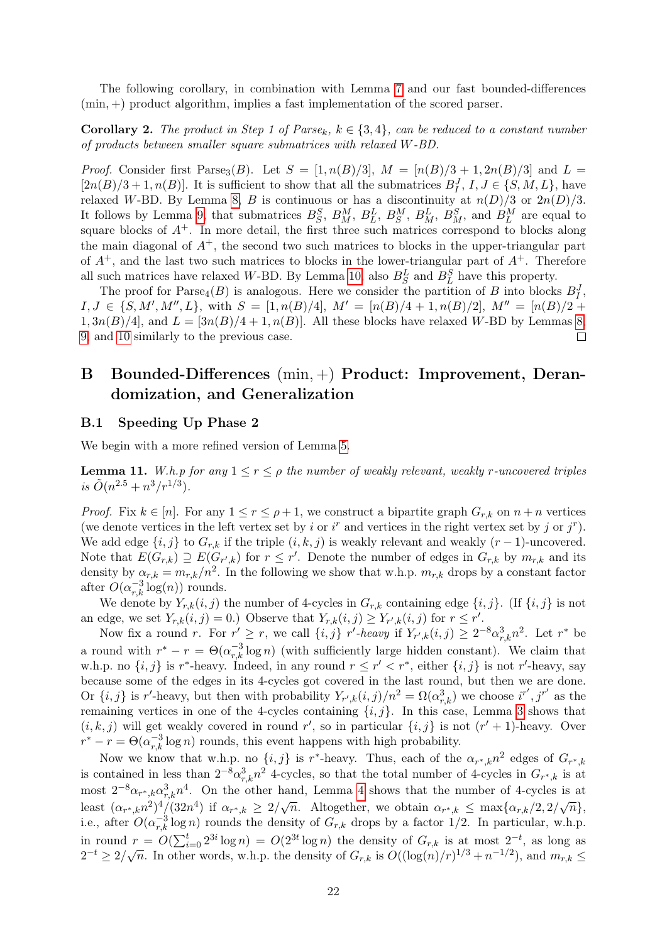The following corollary, in combination with Lemma [7](#page-18-2) and our fast bounded-differences (min, +) product algorithm, implies a fast implementation of the scored parser.

**Corollary 2.** The product in Step 1 of Parse<sub>k</sub>,  $k \in \{3, 4\}$ , can be reduced to a constant number of products between smaller square submatrices with relaxed W-BD.

*Proof.* Consider first Parse<sub>3</sub>(B). Let  $S = [1, n(B)/3], M = [n(B)/3 + 1, 2n(B)/3]$  and  $L =$  $[2n(B)/3+1, n(B)]$ . It is sufficient to show that all the submatrices  $B<sub>I</sub><sup>J</sup>$ ,  $I, J \in \{S, M, L\}$ , have relaxed W-BD. By Lemma [8,](#page-19-0) B is continuous or has a discontinuity at  $n(D)/3$  or  $2n(D)/3$ . It follows by Lemma [9,](#page-20-0) that submatrices  $B_S^S$ ,  $B_M^M$ ,  $B_L^L$ ,  $B_S^M$ ,  $B_M^L$ ,  $B_M^S$ , and  $B_L^M$  are equal to square blocks of  $A^+$ . In more detail, the first three such matrices correspond to blocks along the main diagonal of  $A^+$ , the second two such matrices to blocks in the upper-triangular part of  $A^+$ , and the last two such matrices to blocks in the lower-triangular part of  $A^+$ . Therefore all such matrices have relaxed W-BD. By Lemma [10,](#page-21-0) also  $B_S^L$  and  $B_L^S$  have this property.

The proof for  $\text{Parse}_4(B)$  is analogous. Here we consider the partition of B into blocks  $B_I^J$ ,  $I, J \in \{S, M', M'', L\}$ , with  $S = [1, n(B)/4]$ ,  $M' = [n(B)/4 + 1, n(B)/2]$ ,  $M'' = [n(B)/2 + 1]$  $1, 3n(B)/4$ , and  $L = \left[\frac{3n(B)}{4} + 1, n(B)\right]$ . All these blocks have relaxed W-BD by Lemmas [8,](#page-19-0) [9,](#page-20-0) and [10](#page-21-0) similarly to the previous case.  $\Box$ 

## <span id="page-22-0"></span>B Bounded-Differences (min, +) Product: Improvement, Derandomization, and Generalization

### B.1 Speeding Up Phase 2

<span id="page-22-1"></span>We begin with a more refined version of Lemma [5.](#page-9-0)

**Lemma 11.** W.h.p for any  $1 \leq r \leq \rho$  the number of weakly relevant, weakly r-uncovered triples is  $\tilde{O}(n^{2.5}+n^3/r^{1/3}).$ 

*Proof.* Fix  $k \in [n]$ . For any  $1 \le r \le \rho + 1$ , we construct a bipartite graph  $G_{r,k}$  on  $n + n$  vertices (we denote vertices in the left vertex set by i or  $i^r$  and vertices in the right vertex set by j or  $j^r$ ). We add edge  $\{i, j\}$  to  $G_{r,k}$  if the triple  $(i, k, j)$  is weakly relevant and weakly  $(r-1)$ -uncovered. Note that  $E(G_{r,k}) \supseteq E(G_{r',k})$  for  $r \leq r'$ . Denote the number of edges in  $G_{r,k}$  by  $m_{r,k}$  and its density by  $\alpha_{r,k} = m_{r,k}/n^2$ . In the following we show that w.h.p.  $m_{r,k}$  drops by a constant factor after  $O(\alpha_{r,k}^{-3}\log(n))$  rounds.

We denote by  $Y_{r,k}(i, j)$  the number of 4-cycles in  $G_{r,k}$  containing edge  $\{i, j\}$ . (If  $\{i, j\}$  is not an edge, we set  $Y_{r,k}(i,j) = 0$ .) Observe that  $Y_{r,k}(i,j) \ge Y_{r',k}(i,j)$  for  $r \le r'$ .

Now fix a round r. For  $r' \geq r$ , we call  $\{i, j\}$  r'-heavy if  $Y_{r', k}(i, j) \geq 2^{-8} \alpha_{r, k}^3 n^2$ . Let  $r^*$  be a round with  $r^* - r = \Theta(\alpha_{r,k}^{-3} \log n)$  (with sufficiently large hidden constant). We claim that w.h.p. no  $\{i, j\}$  is r<sup>\*</sup>-heavy. Indeed, in any round  $r \leq r' < r^*$ , either  $\{i, j\}$  is not r'-heavy, say because some of the edges in its 4-cycles got covered in the last round, but then we are done. Or  $\{i, j\}$  is r'-heavy, but then with probability  $Y_{r',k}(i,j)/n^2 = \Omega(\alpha_{r,k}^3)$  we choose  $i^{r'}, j^{r'}$  as the remaining vertices in one of the 4-cycles containing  $\{i, j\}$ . In this case, Lemma [3](#page-8-1) shows that  $(i, k, j)$  will get weakly covered in round r', so in particular  $\{i, j\}$  is not  $(r' + 1)$ -heavy. Over  $r^* - r = \Theta(\alpha_{r,k}^{-3} \log n)$  rounds, this event happens with high probability.

Now we know that w.h.p. no  $\{i, j\}$  is r<sup>\*</sup>-heavy. Thus, each of the  $\alpha_{r^*,k}n^2$  edges of  $G_{r^*,k}$ is contained in less than  $2^{-8} \alpha_{r,k}^3 n^2$  4-cycles, so that the total number of 4-cycles in  $G_{r^*,k}$  is at most  $2^{-8}\alpha_{r^*,k}\alpha_{r,k}^3n^4$ . On the other hand, Lemma [4](#page-8-2) shows that the number of 4-cycles is at hose 2  $\alpha_{r^*,k} \alpha_{r,k} h$ . On the strict hand, Benning 1 shows that the hander of 1 cycles is at  $(\alpha_{r^*,k} n^2)^4/(32n^4)$  if  $\alpha_{r^*,k} \geq 2/\sqrt{n}$ . Altogether, we obtain  $\alpha_{r^*,k} \leq \max{\{\alpha_{r,k}/2, 2/\sqrt{n}\}}$ , i.e., after  $O(\alpha_{r,k}^{-3}\log n)$  rounds the density of  $G_{r,k}$  drops by a factor 1/2. In particular, w.h.p. in round  $r = O(\sum_{i=0}^t 2^{3i} \log n) = O(2^{3t} \log n)$  the density of  $G_{r,k}$  is at most  $2^{-t}$ , as long as In found  $t = O(\sum_{i=0}^{\infty} 2^{-i} \log n) = O(2^{-i} \log n)$  the density of  $G_{r,k}$  is at most 2, as long as  $2^{-t} \ge 2/\sqrt{n}$ . In other words, w.h.p. the density of  $G_{r,k}$  is  $O((\log(n)/r)^{1/3} + n^{-1/2})$ , and  $m_{r,k} \le$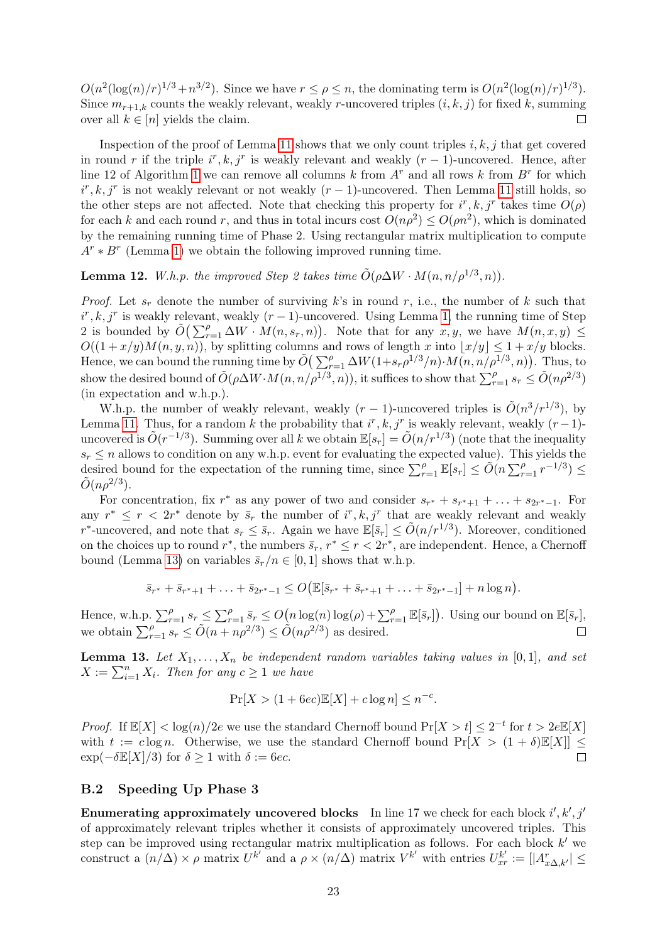$O(n^2(\log(n)/r)^{1/3} + n^{3/2})$ . Since we have  $r \leq \rho \leq n$ , the dominating term is  $O(n^2(\log(n)/r)^{1/3})$ . Since  $m_{r+1,k}$  counts the weakly relevant, weakly r-uncovered triples  $(i, k, j)$  for fixed k, summing over all  $k \in [n]$  yields the claim.  $\Box$ 

Inspection of the proof of Lemma [11](#page-22-1) shows that we only count triples  $i, k, j$  that get covered in round r if the triple  $i^r, k, j^r$  is weakly relevant and weakly  $(r-1)$ -uncovered. Hence, after line [1](#page-12-0)2 of Algorithm 1 we can remove all columns k from  $A<sup>r</sup>$  and all rows k from  $B<sup>r</sup>$  for which  $i^r, k, j^r$  is not weakly relevant or not weakly  $(r-1)$ -uncovered. Then Lemma [11](#page-22-1) still holds, so the other steps are not affected. Note that checking this property for  $i^r, k, j^r$  takes time  $O(\rho)$ for each k and each round r, and thus in total incurs cost  $O(n\rho^2) \leq O(\rho n^2)$ , which is dominated by the remaining running time of Phase 2. Using rectangular matrix multiplication to compute  $A^r * B^r$  (Lemma [1\)](#page-6-2) we obtain the following improved running time.

**Lemma 12.** W.h.p. the improved Step 2 takes time  $\tilde{O}(\rho \Delta W \cdot M(n, n/\rho^{1/3}, n))$ .

*Proof.* Let  $s_r$  denote the number of surviving k's in round r, i.e., the number of k such that  $i^r, k, j^r$  is weakly relevant, weakly  $(r-1)$ -uncovered. Using Lemma [1,](#page-6-2) the running time of Step 2 is bounded by  $\tilde{O}(\sum_{r=1}^{\rho} \Delta W \cdot M(n, s_r, n))$ . Note that for any  $x, y$ , we have  $M(n, x, y) \leq$  $O((1 + x/y)M(n, y, n))$ , by splitting columns and rows of length x into  $\lfloor x/y \rfloor \leq 1 + x/y$  blocks. Hence, we can bound the running time by  $\tilde{O}(\sum_{r=1}^{\rho} \Delta W(1+s_r \rho^{1/3}/n) \cdot M(n,n/\rho^{1/3},n))$ . Thus, to show the desired bound of  $\tilde{O}(\rho \Delta W \cdot M(n, n/\rho^{1/3}, n))$ , it suffices to show that  $\sum_{r=1}^{\rho} s_r \leq \tilde{O}(n \rho^{2/3})$ (in expectation and w.h.p.).

W.h.p. the number of weakly relevant, weakly  $(r-1)$ -uncovered triples is  $\tilde{O}(n^3/r^{1/3})$ , by Lemma [11.](#page-22-1) Thus, for a random k the probability that  $i^r, k, j^r$  is weakly relevant, weakly  $(r-1)$ uncovered is  $\tilde{O}(r^{-1/3})$ . Summing over all k we obtain  $\mathbb{E}[s_r] = \tilde{O}(n/r^{1/3})$  (note that the inequality  $s_r \leq n$  allows to condition on any w.h.p. event for evaluating the expected value). This yields the desired bound for the expectation of the running time, since  $\sum_{r=1}^{\rho} \mathbb{E}[s_r] \le \tilde{O}(n \sum_{r=1}^{\rho} r^{-1/3}) \le$  $\tilde{O}(n\rho^{2/3}).$ 

For concentration, fix  $r^*$  as any power of two and consider  $s_{r^*} + s_{r^*+1} + \ldots + s_{2r^*-1}$ . For any  $r^* \leq r < 2r^*$  denote by  $\bar{s}_r$  the number of  $i^r, k, j^r$  that are weakly relevant and weakly r<sup>\*</sup>-uncovered, and note that  $s_r \leq \bar{s}_r$ . Again we have  $\mathbb{E}[\bar{s}_r] \leq \tilde{O}(n/r^{1/3})$ . Moreover, conditioned on the choices up to round  $r^*$ , the numbers  $\bar{s}_r$ ,  $r^* \le r < 2r^*$ , are independent. Hence, a Chernoff bound (Lemma [13\)](#page-23-0) on variables  $\bar{s}_r/n \in [0,1]$  shows that w.h.p.

$$
\bar{s}_{r^*} + \bar{s}_{r^*+1} + \ldots + \bar{s}_{2r^*-1} \le O\big(\mathbb{E}[\bar{s}_{r^*} + \bar{s}_{r^*+1} + \ldots + \bar{s}_{2r^*-1}] + n \log n\big).
$$

Hence, w.h.p.  $\sum_{r=1}^{\rho} s_r \leq \sum_{r=1}^{\rho} \bar{s}_r \leq O\big(n \log(n) \log(\rho) + \sum_{r=1}^{\rho} \mathbb{E}[\bar{s}_r]\big)$ . Using our bound on  $\mathbb{E}[\bar{s}_r]$ , we obtain  $\sum_{r=1}^{\rho} s_r \le \tilde{O}(n + n\rho^{2/3}) \le \tilde{O}(n\rho^{2/3})$  as desired.

<span id="page-23-0"></span>**Lemma 13.** Let  $X_1, \ldots, X_n$  be independent random variables taking values in [0,1], and set  $X := \sum_{i=1}^{n} X_i$ . Then for any  $c \ge 1$  we have

$$
\Pr[X > (1 + 6ec)\mathbb{E}[X] + c\log n] \le n^{-c}.
$$

*Proof.* If  $\mathbb{E}[X] < \log(n)/2e$  we use the standard Chernoff bound  $\Pr[X > t] \leq 2^{-t}$  for  $t > 2e\mathbb{E}[X]$ with  $t := c \log n$ . Otherwise, we use the standard Chernoff bound  $Pr[X > (1 + \delta)E[X]] \le$  $\exp(-\delta \mathbb{E}[X]/3)$  for  $\delta \geq 1$  with  $\delta := 6ec$ .  $\Box$ 

### B.2 Speeding Up Phase 3

**Enumerating approximately uncovered blocks** In line 17 we check for each block  $i', k', j'$ of approximately relevant triples whether it consists of approximately uncovered triples. This step can be improved using rectangular matrix multiplication as follows. For each block  $k'$  we construct a  $(n/\Delta) \times \rho$  matrix  $U^{k'}$  and a  $\rho \times (n/\Delta)$  matrix  $V^{k'}$  with entries  $U^{k'}_{xr} := [|A^r_{x\Delta,k'}| \leq$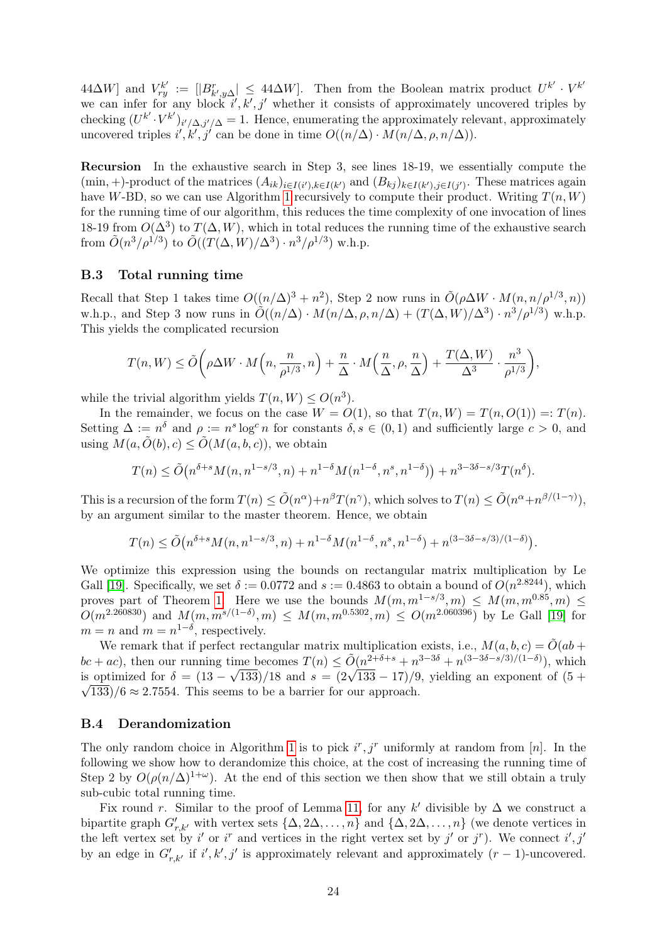$[AB \Delta W]$  and  $V_{ry}^{k'} := [|B_{k',y\Delta}^r|] \leq 44\Delta W$ . Then from the Boolean matrix product  $U^{k'} \cdot V^{k'}$ we can infer for any block  $i', k', j'$  whether it consists of approximately uncovered triples by checking  $(U^{k'} \cdot V^{k'})_{i'/\Delta, j'/\Delta} = 1$ . Hence, enumerating the approximately relevant, approximately uncovered triples  $i', k', j'$  can be done in time  $O((n/\Delta) \cdot M(n/\Delta, \rho, n/\Delta)).$ 

Recursion In the exhaustive search in Step 3, see lines 18-19, we essentially compute the  $(\min, +)$ -product of the matrices  $(A_{ik})_{i \in I(i'), k \in I(k')}$  and  $(B_{kj})_{k \in I(k'), j \in I(j')}$ . These matrices again have W-BD, so we can use Algorithm [1](#page-12-0) recursively to compute their product. Writing  $T(n, W)$ for the running time of our algorithm, this reduces the time complexity of one invocation of lines 18-19 from  $O(\Delta^3)$  to  $T(\Delta, W)$ , which in total reduces the running time of the exhaustive search from  $\tilde{O}(n^3/\rho^{1/3})$  to  $\tilde{O}((T(\Delta,W)/\Delta^3) \cdot n^3/\rho^{1/3})$  w.h.p.

### <span id="page-24-0"></span>B.3 Total running time

Recall that Step 1 takes time  $O((n/\Delta)^3 + n^2)$ , Step 2 now runs in  $\tilde{O}(\rho \Delta W \cdot M(n, n/\rho^{1/3}, n))$ w.h.p., and Step 3 now runs in  $\tilde{O}((n/\Delta) \cdot M(n/\Delta, \rho, n/\Delta) + (T(\Delta, W)/\Delta^3) \cdot n^3/\rho^{1/3})$  w.h.p. This yields the complicated recursion

$$
T(n, W) \le \tilde{O}\bigg(\rho \Delta W \cdot M\Big(n, \frac{n}{\rho^{1/3}}, n\Big) + \frac{n}{\Delta} \cdot M\Big(\frac{n}{\Delta}, \rho, \frac{n}{\Delta}\Big) + \frac{T(\Delta, W)}{\Delta^3} \cdot \frac{n^3}{\rho^{1/3}}\bigg),
$$

while the trivial algorithm yields  $T(n, W) \le O(n^3)$ .

In the remainder, we focus on the case  $W = O(1)$ , so that  $T(n, W) = T(n, O(1)) = T(n)$ . Setting  $\Delta := n^{\delta}$  and  $\rho := n^s \log^c n$  for constants  $\delta, s \in (0, 1)$  and sufficiently large  $c > 0$ , and using  $M(a, \tilde{O}(b), c) \leq \tilde{O}(M(a, b, c))$ , we obtain

$$
T(n) \le \tilde{O}\left(n^{\delta+s} M(n, n^{1-s/3}, n) + n^{1-\delta} M(n^{1-\delta}, n^s, n^{1-\delta})\right) + n^{3-3\delta-s/3} T(n^{\delta}).
$$

This is a recursion of the form  $T(n) \le \tilde{O}(n^{\alpha}) + n^{\beta}T(n^{\gamma})$ , which solves to  $T(n) \le \tilde{O}(n^{\alpha} + n^{\beta/(1-\gamma)}),$ by an argument similar to the master theorem. Hence, we obtain

$$
T(n) \le \tilde{O}\left(n^{\delta+s} M(n, n^{1-s/3}, n) + n^{1-\delta} M(n^{1-\delta}, n^s, n^{1-\delta}) + n^{(3-3\delta-s/3)/(1-\delta)}\right).
$$

We optimize this expression using the bounds on rectangular matrix multiplication by Le Gall [\[19\]](#page-13-16). Specifically, we set  $\delta := 0.0772$  and  $s := 0.4863$  to obtain a bound of  $O(n^{2.8244})$ , which proves part of Theorem [1.](#page-1-2) Here we use the bounds  $M(m, m^{1-s/3}, m) \leq M(m, m^{0.85}, m) \leq$  $O(m^{2.260830})$  and  $M(m, m^{s/(1-\delta)}, m) \leq M(m, m^{0.5302}, m) \leq O(m^{2.060396})$  by Le Gall [\[19\]](#page-13-16) for  $m = n$  and  $m = n^{1-\delta}$ , respectively.

We remark that if perfect rectangular matrix multiplication exists, i.e.,  $M(a, b, c) = \tilde{O}(ab + c)$  $bc + ac$ ), then our running time becomes  $T(n) \leq \tilde{O}(n^{2+\delta+s} + n^{3-3\delta} + n^{(3-3\delta-s/3)/(1-\delta)})$ , which  $\omega c + ac$ ), then our running time becomes  $I(n) \leq O(n^{1+\epsilon+1} + n^{1+\epsilon+1} + n^{1+\epsilon+1})$ , which<br>is optimized for  $\delta = (13 - \sqrt{133})/18$  and  $s = (2\sqrt{133} - 17)/9$ , yielding an exponent of  $(5 +$  $\sqrt{133}/6 \approx 2.7554$ . This seems to be a barrier for our approach.

### B.4 Derandomization

The only random choice in Algorithm [1](#page-12-0) is to pick  $i^r, j^r$  uniformly at random from [n]. In the following we show how to derandomize this choice, at the cost of increasing the running time of Step 2 by  $O(\rho(n/\Delta)^{1+\omega})$ . At the end of this section we then show that we still obtain a truly sub-cubic total running time.

Fix round r. Similar to the proof of Lemma [11,](#page-22-1) for any k' divisible by  $\Delta$  we construct a bipartite graph  $G'_{r,k'}$  with vertex sets  $\{\Delta, 2\Delta, \ldots, n\}$  and  $\{\Delta, 2\Delta, \ldots, n\}$  (we denote vertices in the left vertex set by i' or i<sup>r</sup> and vertices in the right vertex set by j' or j<sup>r</sup>). We connect i', j' by an edge in  $G'_{r,k'}$  if  $i', k', j'$  is approximately relevant and approximately  $(r-1)$ -uncovered.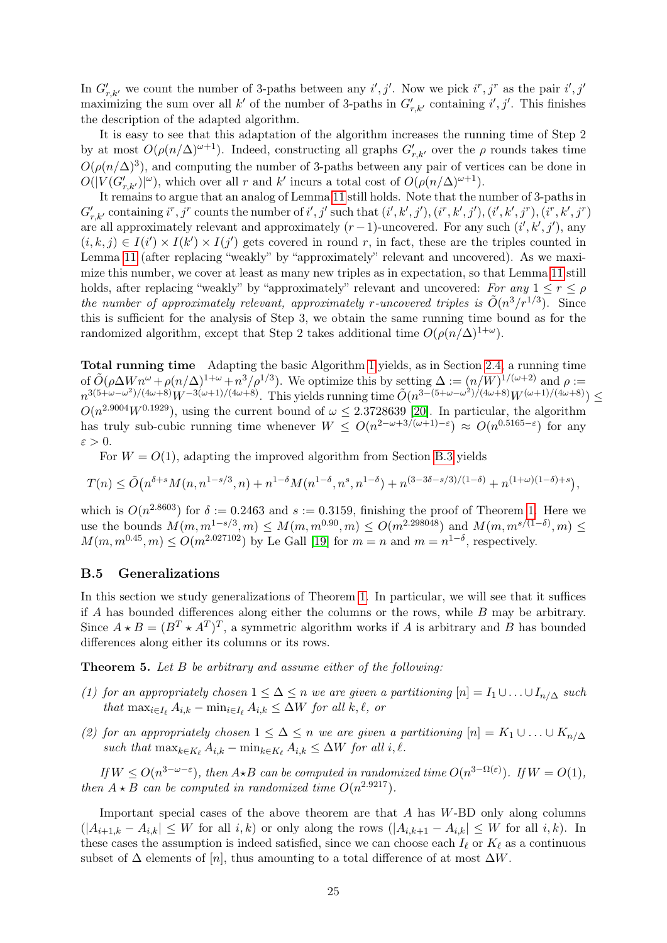In  $G'_{r,k'}$  we count the number of 3-paths between any i', j'. Now we pick  $i^r, j^r$  as the pair  $i', j'$ maximizing the sum over all k' of the number of 3-paths in  $G'_{r,k'}$  containing i', j'. This finishes the description of the adapted algorithm.

It is easy to see that this adaptation of the algorithm increases the running time of Step 2 by at most  $O(\rho(n/\Delta)^{\omega+1})$ . Indeed, constructing all graphs  $G'_{r,k'}$  over the  $\rho$  rounds takes time  $O(\rho(n/\Delta)^3)$ , and computing the number of 3-paths between any pair of vertices can be done in  $O(|V(G'_{r,k'})|^{ \omega}),$  which over all r and k' incurs a total cost of  $O(\rho(n/\Delta)^{ \omega+1}).$ 

It remains to argue that an analog of Lemma [11](#page-22-1) still holds. Note that the number of 3-paths in  $G'_{r,k'}$  containing  $i^r, j^r$  counts the number of  $i', j'$  such that  $(i', k', j'), (i^r, k', j'), (i', k', j^r), (i^r, k', j^r)$ are all approximately relevant and approximately  $(r-1)$ -uncovered. For any such  $(i', k', j')$ , any  $(i, k, j) \in I(i') \times I(k') \times I(j')$  gets covered in round r, in fact, these are the triples counted in Lemma [11](#page-22-1) (after replacing "weakly" by "approximately" relevant and uncovered). As we maximize this number, we cover at least as many new triples as in expectation, so that Lemma [11](#page-22-1) still holds, after replacing "weakly" by "approximately" relevant and uncovered: For any  $1 \le r \le \rho$ the number of approximately relevant, approximately r-uncovered triples is  $\tilde{O}(n^3/r^{1/3})$ . Since this is sufficient for the analysis of Step 3, we obtain the same running time bound as for the randomized algorithm, except that Step 2 takes additional time  $O(\rho(n/\Delta)^{1+\omega})$ .

Total running time Adapting the basic Algorithm [1](#page-12-0) yields, as in Section [2.4,](#page-10-1) a running time of  $\tilde{O}(\rho \Delta W n^{\omega} + \rho (n/\Delta)^{1+\omega} + n^3/\rho^{1/3})$ . We optimize this by setting  $\Delta := (n/W)^{1/(\omega+2)}$  and  $\rho :=$  $n^{3(5+\omega-\omega^2)/(4\omega+8)}W^{-3(\omega+1)/(4\omega+8)}$ . This yields running time  $\tilde{O}(n^{3-(5+\omega-\omega^2)/(4\omega+8)}W^{(\omega+1)/(4\omega+8)}) \le$  $O(n^{2.9004}W^{0.1929})$ , using the current bound of  $\omega \leq 2.3728639$  [\[20\]](#page-13-6). In particular, the algorithm has truly sub-cubic running time whenever  $W \leq O(n^{2-\omega+3/(\omega+1)-\epsilon}) \approx O(n^{0.5165-\epsilon})$  for any  $\varepsilon > 0$ .

For  $W = O(1)$ , adapting the improved algorithm from Section [B.3](#page-24-0) yields

$$
T(n) \leq \tilde{O}\big(n^{\delta+s} M(n,n^{1-s/3},n) + n^{1-\delta} M(n^{1-\delta},n^s,n^{1-\delta}) + n^{(3-3\delta-s/3)/(1-\delta)} + n^{(1+\omega)(1-\delta)+s}\big),
$$

which is  $O(n^{2.8603})$  for  $\delta := 0.2463$  and  $s := 0.3159$ , finishing the proof of Theorem [1.](#page-1-2) Here we use the bounds  $M(m, m^{1-s/3}, m) \leq M(m, m^{0.90}, m) \leq O(m^{2.298048})$  and  $M(m, m^{s/(1-\delta)}, m) \leq$  $M(m, m^{0.45}, m) \leq O(m^{2.027102})$  by Le Gall [\[19\]](#page-13-16) for  $m = n$  and  $m = n^{1-\delta}$ , respectively.

### B.5 Generalizations

In this section we study generalizations of Theorem [1.](#page-1-2) In particular, we will see that it suffices if A has bounded differences along either the columns or the rows, while B may be arbitrary. Since  $A \star B = (B^T \star A^T)^T$ , a symmetric algorithm works if A is arbitrary and B has bounded differences along either its columns or its rows.

Theorem 5. Let B be arbitrary and assume either of the following:

- (1) for an appropriately chosen  $1 \leq \Delta \leq n$  we are given a partitioning  $[n] = I_1 \cup \ldots \cup I_{n/\Delta}$  such that  $\max_{i \in I_{\ell}} A_{i,k} - \min_{i \in I_{\ell}} A_{i,k} \leq \Delta W$  for all k,  $\ell$ , or
- (2) for an appropriately chosen  $1 \leq \Delta \leq n$  we are given a partitioning  $[n] = K_1 \cup ... \cup K_{n/\Delta}$ such that  $\max_{k \in K_{\ell}} A_{i,k} - \min_{k \in K_{\ell}} A_{i,k} \leq \Delta W$  for all i,  $\ell$ .

If  $W \leq O(n^{3-\omega-\varepsilon})$ , then  $A \star B$  can be computed in randomized time  $O(n^{3-\Omega(\varepsilon)})$ . If  $W = O(1)$ , then  $A \star B$  can be computed in randomized time  $O(n^{2.9217})$ .

Important special cases of the above theorem are that A has W-BD only along columns  $(|A_{i+1,k}-A_{i,k}| \leq W$  for all  $i,k$ ) or only along the rows  $(|A_{i,k+1}-A_{i,k}| \leq W$  for all  $i,k$ ). In these cases the assumption is indeed satisfied, since we can choose each  $I_\ell$  or  $K_\ell$  as a continuous subset of  $\Delta$  elements of [n], thus amounting to a total difference of at most  $\Delta W$ .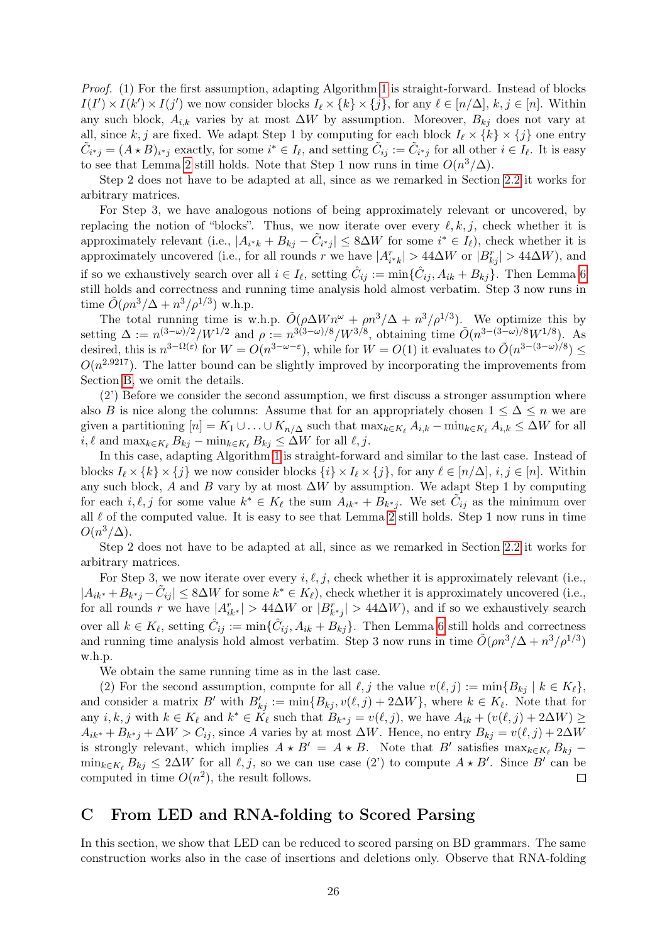Proof. (1) For the first assumption, adapting Algorithm [1](#page-12-0) is straight-forward. Instead of blocks  $I(I') \times I(k') \times I(j')$  we now consider blocks  $I_{\ell} \times \{k\} \times \{j\}$ , for any  $\ell \in [n/\Delta]$ ,  $k, j \in [n]$ . Within any such block,  $A_{i,k}$  varies by at most  $\Delta W$  by assumption. Moreover,  $B_{kj}$  does not vary at all, since k, j are fixed. We adapt Step 1 by computing for each block  $I_\ell \times \{k\} \times \{j\}$  one entry  $\tilde{C}_{i^*j} = (A \star B)_{i^*j}$  exactly, for some  $i^* \in I_\ell$ , and setting  $\tilde{C}_{ij} := \tilde{C}_{i^*j}$  for all other  $i \in I_\ell$ . It is easy to see that Lemma [2](#page-7-1) still holds. Note that Step 1 now runs in time  $O(n^3/\Delta)$ .

Step 2 does not have to be adapted at all, since as we remarked in Section [2.2](#page-7-2) it works for arbitrary matrices.

For Step 3, we have analogous notions of being approximately relevant or uncovered, by replacing the notion of "blocks". Thus, we now iterate over every  $\ell, k, j$ , check whether it is approximately relevant (i.e.,  $|A_{i^*k} + B_{kj} - \tilde{C}_{i^*j}| \leq 8\Delta W$  for some  $i^* \in I_{\ell}$ ), check whether it is approximately uncovered (i.e., for all rounds r we have  $|A_{i^*k}^r| > 44\Delta W$  or  $|B_{kj}^r| > 44\Delta W$ ), and if so we exhaustively search over all  $i \in I_{\ell}$ , setting  $\hat{C}_{ij} := \min\{\hat{C}_{ij}, A_{ik} + B_{kj}\}.$  Then Lemma [6](#page-10-0) still holds and correctness and running time analysis hold almost verbatim. Step 3 now runs in time  $\tilde{O}(\rho n^3/\Delta + n^3/\rho^{1/3})$  w.h.p.

The total running time is w.h.p.  $\tilde{O}(\rho \Delta W n^{\omega} + \rho n^3/\Delta + n^3/\rho^{1/3})$ . We optimize this by setting  $\Delta := n^{(3-\omega)/2}/W^{1/2}$  and  $\rho := n^{3(3-\omega)/8}/W^{3/8}$ , obtaining time  $O(n^{3-(3-\omega)/8}W^{1/8})$ . As desired, this is  $n^{3-\Omega(\varepsilon)}$  for  $W = O(n^{3-\omega-\varepsilon})$ , while for  $W = O(1)$  it evaluates to  $\tilde{O}(n^{3-(3-\omega)/8}) \le$  $O(n^{2.9217})$ . The latter bound can be slightly improved by incorporating the improvements from Section [B,](#page-22-0) we omit the details.

(2') Before we consider the second assumption, we first discuss a stronger assumption where also B is nice along the columns: Assume that for an appropriately chosen  $1 \leq \Delta \leq n$  we are given a partitioning  $[n] = K_1 \cup ... \cup K_{n/\Delta}$  such that  $\max_{k \in K_\ell} A_{i,k} - \min_{k \in K_\ell} A_{i,k} \leq \Delta W$  for all  $i, \ell$  and  $\max_{k \in K_{\ell}} B_{kj} - \min_{k \in K_{\ell}} B_{kj} \leq \Delta W$  for all  $\ell, j$ .

In this case, adapting Algorithm [1](#page-12-0) is straight-forward and similar to the last case. Instead of blocks  $I_\ell \times \{k\} \times \{j\}$  we now consider blocks  $\{i\} \times I_\ell \times \{j\}$ , for any  $\ell \in [n/\Delta], i, j \in [n]$ . Within any such block, A and B vary by at most  $\Delta W$  by assumption. We adapt Step 1 by computing for each  $i, \ell, j$  for some value  $k^* \in K_{\ell}$  the sum  $A_{ik^*} + B_{k^*j}$ . We set  $\tilde{C}_{ij}$  as the minimum over all  $\ell$  of the computed value. It is easy to see that Lemma [2](#page-7-1) still holds. Step 1 now runs in time  $O(n^3/\Delta)$ .

Step 2 does not have to be adapted at all, since as we remarked in Section [2.2](#page-7-2) it works for arbitrary matrices.

For Step 3, we now iterate over every  $i, \ell, j$ , check whether it is approximately relevant (i.e.,  $|A_{ik^*}+B_{k^*j}-\tilde{C}_{ij}|\leq 8\Delta W$  for some  $k^*\in K_{\ell}$ , check whether it is approximately uncovered (i.e., for all rounds r we have  $|A_{ik^*}^r| > 44\Delta W$  or  $|B_{k^*j}^r| > 44\Delta W$ , and if so we exhaustively search over all  $k \in K_{\ell}$ , setting  $\hat{C}_{ij} := \min{\{\hat{C}_{ij}, A_{ik} + B_{kj}\}}$ . Then Lemma [6](#page-10-0) still holds and correctness and running time analysis hold almost verbatim. Step 3 now runs in time  $\tilde{O}(\rho n^3/\Delta + n^3/\rho^{1/3})$ w.h.p.

We obtain the same running time as in the last case.

(2) For the second assumption, compute for all  $\ell, j$  the value  $v(\ell, j) := \min\{B_{kj} | k \in K_{\ell}\},$ and consider a matrix B' with  $B'_{kj} := \min\{B_{kj}, v(\ell, j) + 2\Delta W\}$ , where  $k \in K_{\ell}$ . Note that for any  $i, k, j$  with  $k \in K_{\ell}$  and  $k^* \in \tilde{K_{\ell}}$  such that  $B_{k^*j} = v(\ell, j)$ , we have  $A_{ik} + (v(\ell, j) + 2\Delta W) \ge$  $A_{ik^*} + B_{k^*j} + \Delta W > C_{ij}$ , since A varies by at most  $\Delta W$ . Hence, no entry  $B_{kj} = v(\ell, j) + 2\Delta W$ is strongly relevant, which implies  $A \star B' = A \star B$ . Note that B' satisfies  $\max_{k \in K_{\ell}} B_{kj}$  –  $\min_{k \in K_{\ell}} B_{kj} \leq 2\Delta W$  for all  $\ell, j$ , so we can use case (2') to compute  $A \star B'$ . Since B' can be computed in time  $O(n^2)$ , the result follows.  $\Box$ 

### <span id="page-26-0"></span>C From LED and RNA-folding to Scored Parsing

In this section, we show that LED can be reduced to scored parsing on BD grammars. The same construction works also in the case of insertions and deletions only. Observe that RNA-folding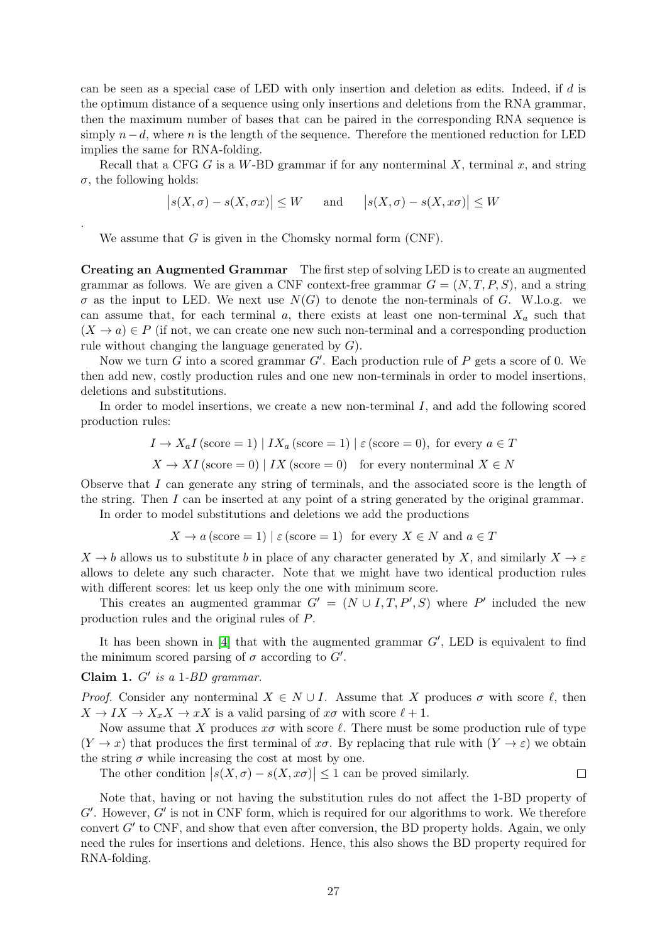can be seen as a special case of LED with only insertion and deletion as edits. Indeed, if d is the optimum distance of a sequence using only insertions and deletions from the RNA grammar, then the maximum number of bases that can be paired in the corresponding RNA sequence is simply  $n-d$ , where n is the length of the sequence. Therefore the mentioned reduction for LED implies the same for RNA-folding.

Recall that a CFG G is a W-BD grammar if for any nonterminal  $X$ , terminal  $x$ , and string  $\sigma$ , the following holds:

$$
|s(X, \sigma) - s(X, \sigma x)| \leq W
$$
 and  $|s(X, \sigma) - s(X, x\sigma)| \leq W$ 

We assume that  $G$  is given in the Chomsky normal form  $(CNF)$ .

Creating an Augmented Grammar The first step of solving LED is to create an augmented grammar as follows. We are given a CNF context-free grammar  $G = (N, T, P, S)$ , and a string  $\sigma$  as the input to LED. We next use  $N(G)$  to denote the non-terminals of G. W.l.o.g. we can assume that, for each terminal a, there exists at least one non-terminal  $X_a$  such that  $(X \to a) \in P$  (if not, we can create one new such non-terminal and a corresponding production rule without changing the language generated by  $G$ ).

Now we turn G into a scored grammar  $G'$ . Each production rule of P gets a score of 0. We then add new, costly production rules and one new non-terminals in order to model insertions, deletions and substitutions.

In order to model insertions, we create a new non-terminal I, and add the following scored production rules:

$$
I \rightarrow X_a I
$$
 (score = 1) |  $IX_a$  (score = 1) |  $\varepsilon$  (score = 0), for every  $a \in T$ 

$$
X \to XI \,(\text{score} = 0) \mid IX \,(\text{score} = 0) \quad \text{for every nonterminal } X \in N
$$

Observe that I can generate any string of terminals, and the associated score is the length of the string. Then I can be inserted at any point of a string generated by the original grammar.

In order to model substitutions and deletions we add the productions

$$
X \to a \text{ (score = 1) } \mid \varepsilon \text{ (score = 1) for every } X \in N \text{ and } a \in T
$$

 $X \to b$  allows us to substitute b in place of any character generated by X, and similarly  $X \to \varepsilon$ allows to delete any such character. Note that we might have two identical production rules with different scores: let us keep only the one with minimum score.

This creates an augmented grammar  $G' = (N \cup I, T, P', S)$  where P' included the new production rules and the original rules of P.

It has been shown in [\[4\]](#page-11-2) that with the augmented grammar  $G'$ , LED is equivalent to find the minimum scored parsing of  $\sigma$  according to  $G'$ .

<span id="page-27-0"></span>Claim 1.  $G'$  is a 1-BD grammar.

.

*Proof.* Consider any nonterminal  $X \in N \cup I$ . Assume that X produces  $\sigma$  with score  $\ell$ , then  $X \to I X \to X_x X \to x X$  is a valid parsing of  $x\sigma$  with score  $\ell + 1$ .

Now assume that X produces  $x\sigma$  with score  $\ell$ . There must be some production rule of type  $(Y \to x)$  that produces the first terminal of  $x\sigma$ . By replacing that rule with  $(Y \to \varepsilon)$  we obtain the string  $\sigma$  while increasing the cost at most by one.

The other condition  $|s(X, \sigma) - s(X, x\sigma)| \leq 1$  can be proved similarly.  $\Box$ 

Note that, having or not having the substitution rules do not affect the 1-BD property of  $G'$ . However,  $G'$  is not in CNF form, which is required for our algorithms to work. We therefore convert  $G'$  to CNF, and show that even after conversion, the BD property holds. Again, we only need the rules for insertions and deletions. Hence, this also shows the BD property required for RNA-folding.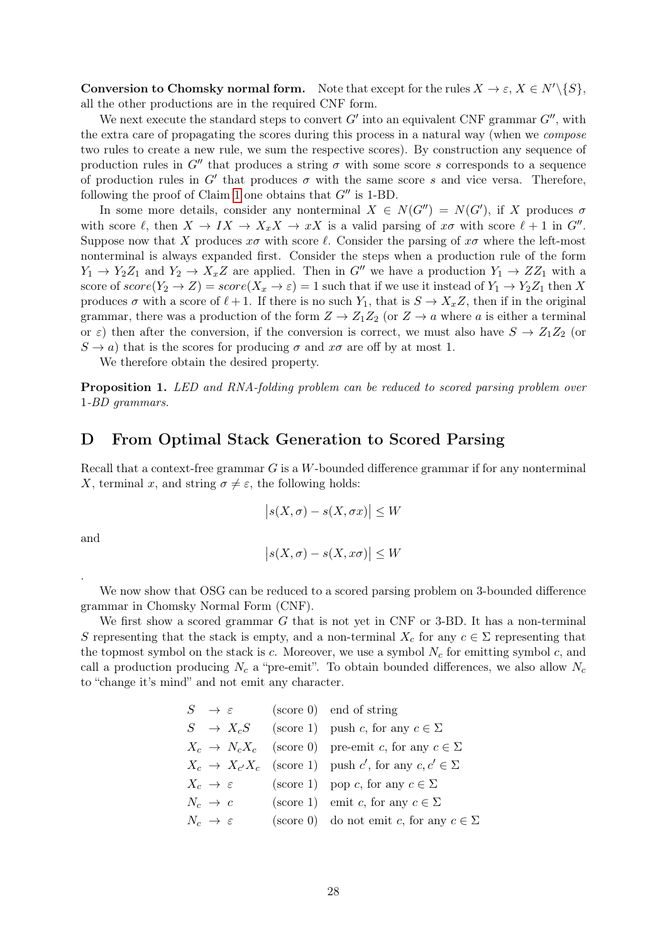**Conversion to Chomsky normal form.** Note that except for the rules  $X \to \varepsilon$ ,  $X \in N' \setminus \{S\}$ , all the other productions are in the required CNF form.

We next execute the standard steps to convert  $G'$  into an equivalent CNF grammar  $G''$ , with the extra care of propagating the scores during this process in a natural way (when we compose two rules to create a new rule, we sum the respective scores). By construction any sequence of production rules in  $G''$  that produces a string  $\sigma$  with some score s corresponds to a sequence of production rules in  $G'$  that produces  $\sigma$  with the same score s and vice versa. Therefore, following the proof of Claim [1](#page-27-0) one obtains that  $G''$  is 1-BD.

In some more details, consider any nonterminal  $X \in N(G'') = N(G')$ , if X produces  $\sigma$ with score  $\ell$ , then  $X \to IX \to X_x X \to xX$  is a valid parsing of  $x\sigma$  with score  $\ell + 1$  in  $G''$ . Suppose now that X produces  $x\sigma$  with score  $\ell$ . Consider the parsing of  $x\sigma$  where the left-most nonterminal is always expanded first. Consider the steps when a production rule of the form  $Y_1 \rightarrow Y_2 Z_1$  and  $Y_2 \rightarrow X_x Z$  are applied. Then in G'' we have a production  $Y_1 \rightarrow ZZ_1$  with a score of  $score(Y_2 \to Z) = score(X_x \to \varepsilon) = 1$  such that if we use it instead of  $Y_1 \to Y_2Z_1$  then X produces  $\sigma$  with a score of  $\ell + 1$ . If there is no such  $Y_1$ , that is  $S \to X_x Z$ , then if in the original grammar, there was a production of the form  $Z \to Z_1 Z_2$  (or  $Z \to a$  where a is either a terminal or  $\varepsilon$ ) then after the conversion, if the conversion is correct, we must also have  $S \to Z_1 Z_2$  (or  $S \to a$ ) that is the scores for producing  $\sigma$  and  $x\sigma$  are off by at most 1.

We therefore obtain the desired property.

Proposition 1. LED and RNA-folding problem can be reduced to scored parsing problem over 1-BD grammars.

### <span id="page-28-0"></span>D From Optimal Stack Generation to Scored Parsing

Recall that a context-free grammar G is a W-bounded difference grammar if for any nonterminal X, terminal x, and string  $\sigma \neq \varepsilon$ , the following holds:

$$
|s(X, \sigma) - s(X, \sigma x)| \le W
$$

and

.

$$
|s(X,\sigma) - s(X,x\sigma)| \le W
$$

We now show that OSG can be reduced to a scored parsing problem on 3-bounded difference grammar in Chomsky Normal Form (CNF).

We first show a scored grammar G that is not yet in CNF or 3-BD. It has a non-terminal S representing that the stack is empty, and a non-terminal  $X_c$  for any  $c \in \Sigma$  representing that the topmost symbol on the stack is  $c$ . Moreover, we use a symbol  $N_c$  for emitting symbol  $c$ , and call a production producing  $N_c$  a "pre-emit". To obtain bounded differences, we also allow  $N_c$ to "change it's mind" and not emit any character.

| $S \rightarrow \varepsilon$   | $(\text{score } 0)$ end of string                                 |
|-------------------------------|-------------------------------------------------------------------|
|                               | $S \rightarrow X_c S$ (score 1) push c, for any $c \in \Sigma$    |
|                               | $X_c \to N_c X_c$ (score 0) pre-emit c, for any $c \in \Sigma$    |
|                               | $X_c \to X_{c'}X_c$ (score 1) push c', for any $c, c' \in \Sigma$ |
| $X_c \rightarrow \varepsilon$ | (score 1) pop c, for any $c \in \Sigma$                           |
| $N_c \rightarrow c$           | (score 1) emit c, for any $c \in \Sigma$                          |
| $N_c \rightarrow \varepsilon$ | (score 0) do not emit c, for any $c \in \Sigma$                   |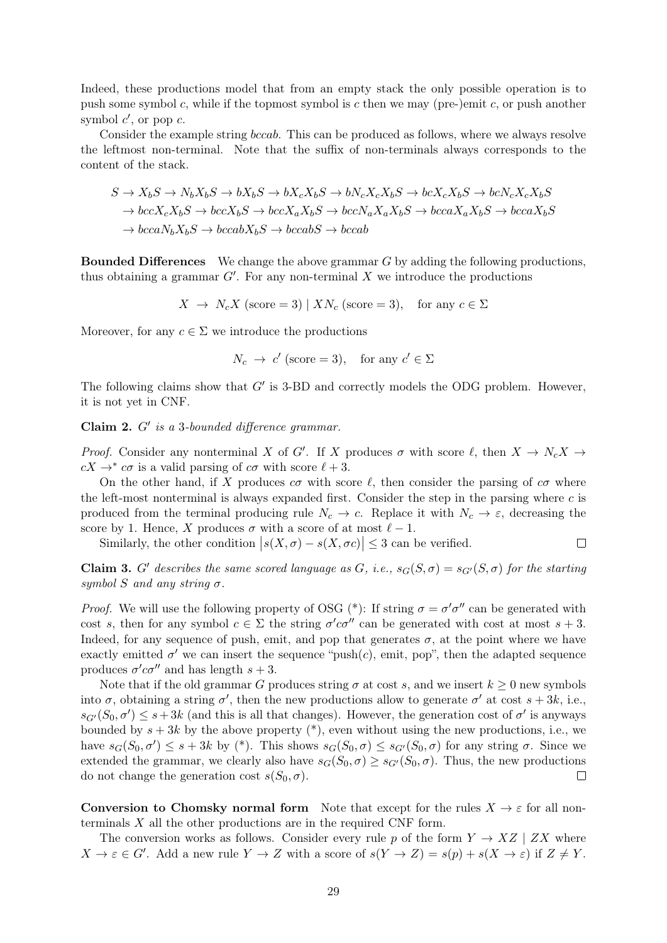Indeed, these productions model that from an empty stack the only possible operation is to push some symbol c, while if the topmost symbol is c then we may (pre-)emit c, or push another symbol  $c'$ , or pop  $c$ .

Consider the example string bccab. This can be produced as follows, where we always resolve the leftmost non-terminal. Note that the suffix of non-terminals always corresponds to the content of the stack.

$$
S \to X_b S \to N_b X_b S \to b X_b S \to b X_c X_b S \to b N_c X_c X_b S \to b c X_c X_b S \to b c N_c X_c X_b S
$$
  
\n
$$
\to b c c X_c X_b S \to b c c X_b S \to b c c X_a X_b S \to b c c X_a X_b S \to b c c a X_a X_b S \to b c c a X_b S
$$
  
\n
$$
\to b c c a N_b X_b S \to b c c a b X_b S \to b c c a b S \to b c c a b
$$

**Bounded Differences** We change the above grammar  $G$  by adding the following productions, thus obtaining a grammar  $G'$ . For any non-terminal X we introduce the productions

 $X \to N_c X$  (score = 3) |  $X N_c$  (score = 3), for any  $c \in \Sigma$ 

Moreover, for any  $c \in \Sigma$  we introduce the productions

$$
N_c \to c' \text{ (score = 3)}, \text{ for any } c' \in \Sigma
$$

The following claims show that  $G'$  is 3-BD and correctly models the ODG problem. However, it is not yet in CNF.

Claim  $2. G'$  is a 3-bounded difference grammar.

*Proof.* Consider any nonterminal X of G'. If X produces  $\sigma$  with score  $\ell$ , then  $X \to N_c X \to$  $cX \rightarrow^* c\sigma$  is a valid parsing of  $c\sigma$  with score  $\ell + 3$ .

On the other hand, if X produces  $c\sigma$  with score  $\ell$ , then consider the parsing of  $c\sigma$  where the left-most nonterminal is always expanded first. Consider the step in the parsing where  $c$  is produced from the terminal producing rule  $N_c \to c$ . Replace it with  $N_c \to \varepsilon$ , decreasing the score by 1. Hence, X produces  $\sigma$  with a score of at most  $\ell - 1$ .

Similarly, the other condition  $|s(X, \sigma) - s(X, \sigma c)| \leq 3$  can be verified.  $\Box$ 

Claim 3. G' describes the same scored language as G, i.e.,  $s_G(S, \sigma) = s_{G'}(S, \sigma)$  for the starting symbol S and any string  $\sigma$ .

*Proof.* We will use the following property of OSG (\*): If string  $\sigma = \sigma' \sigma''$  can be generated with cost s, then for any symbol  $c \in \Sigma$  the string  $\sigma' c \sigma''$  can be generated with cost at most  $s + 3$ . Indeed, for any sequence of push, emit, and pop that generates  $\sigma$ , at the point where we have exactly emitted  $\sigma'$  we can insert the sequence "push $(c)$ , emit, pop", then the adapted sequence produces  $\sigma' c \sigma''$  and has length  $s + 3$ .

Note that if the old grammar G produces string  $\sigma$  at cost s, and we insert  $k \geq 0$  new symbols into  $\sigma$ , obtaining a string  $\sigma'$ , then the new productions allow to generate  $\sigma'$  at cost  $s + 3k$ , i.e.,  $s_{G'}(S_0, \sigma') \leq s + 3k$  (and this is all that changes). However, the generation cost of  $\sigma'$  is anyways bounded by  $s + 3k$  by the above property  $(*)$ , even without using the new productions, i.e., we have  $s_G(S_0, \sigma') \leq s + 3k$  by (\*). This shows  $s_G(S_0, \sigma) \leq s_{G'}(S_0, \sigma)$  for any string  $\sigma$ . Since we extended the grammar, we clearly also have  $s_G(S_0, \sigma) \geq s_{G'}(S_0, \sigma)$ . Thus, the new productions do not change the generation cost  $s(S_0, \sigma)$ .  $\Box$ 

Conversion to Chomsky normal form Note that except for the rules  $X \to \varepsilon$  for all nonterminals X all the other productions are in the required CNF form.

The conversion works as follows. Consider every rule p of the form  $Y \to XZ \mid ZX$  where  $X \to \varepsilon \in G'$ . Add a new rule  $Y \to Z$  with a score of  $s(Y \to Z) = s(p) + s(X \to \varepsilon)$  if  $Z \neq Y$ .